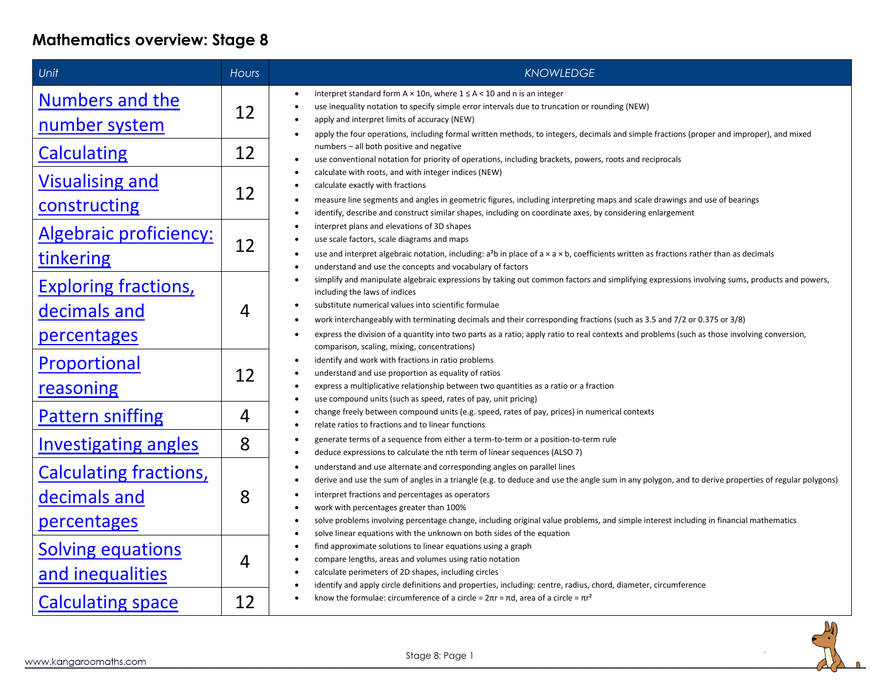# **Mathematics overview: Stage 8**

| Unit                                                         | Hours | <b>KNOWLEDGE</b>                                                                                                                                                                                                                                                                                                                                                                                                                                                                                                                                                                                                   |
|--------------------------------------------------------------|-------|--------------------------------------------------------------------------------------------------------------------------------------------------------------------------------------------------------------------------------------------------------------------------------------------------------------------------------------------------------------------------------------------------------------------------------------------------------------------------------------------------------------------------------------------------------------------------------------------------------------------|
| Numbers and the<br>number system                             | 12    | interpret standard form $A \times 10n$ , where $1 \le A < 10$ and n is an integer<br>$\bullet$<br>use inequality notation to specify simple error intervals due to truncation or rounding (NEW)<br>$\bullet$<br>apply and interpret limits of accuracy (NEW)<br>$\bullet$<br>apply the four operations, including formal written methods, to integers, decimals and simple fractions (proper and improper), and mixed<br>٠                                                                                                                                                                                         |
| <b>Calculating</b>                                           | 12    | numbers – all both positive and negative<br>use conventional notation for priority of operations, including brackets, powers, roots and reciprocals<br>$\bullet$                                                                                                                                                                                                                                                                                                                                                                                                                                                   |
| <b>Visualising and</b><br>constructing                       | 12    | calculate with roots, and with integer indices (NEW)<br>$\bullet$<br>calculate exactly with fractions<br>$\bullet$<br>measure line segments and angles in geometric figures, including interpreting maps and scale drawings and use of bearings<br>$\bullet$<br>identify, describe and construct similar shapes, including on coordinate axes, by considering enlargement<br>$\bullet$                                                                                                                                                                                                                             |
| Algebraic proficiency:<br><b>tinkering</b>                   | 12    | interpret plans and elevations of 3D shapes<br>٠<br>use scale factors, scale diagrams and maps<br>٠<br>use and interpret algebraic notation, including: $a^2b$ in place of $a \times a \times b$ , coefficients written as fractions rather than as decimals<br>٠<br>understand and use the concepts and vocabulary of factors<br>٠                                                                                                                                                                                                                                                                                |
| <b>Exploring fractions,</b><br>decimals and<br>percentages   | 4     | simplify and manipulate algebraic expressions by taking out common factors and simplifying expressions involving sums, products and powers,<br>$\bullet$<br>including the laws of indices<br>substitute numerical values into scientific formulae<br>$\bullet$<br>work interchangeably with terminating decimals and their corresponding fractions (such as 3.5 and 7/2 or 0.375 or 3/8)<br>$\bullet$<br>express the division of a quantity into two parts as a ratio; apply ratio to real contexts and problems (such as those involving conversion,<br>$\bullet$<br>comparison, scaling, mixing, concentrations) |
| Proportional<br>reasoning                                    | 12    | identify and work with fractions in ratio problems<br>$\bullet$<br>understand and use proportion as equality of ratios<br>٠<br>express a multiplicative relationship between two quantities as a ratio or a fraction<br>$\bullet$<br>use compound units (such as speed, rates of pay, unit pricing)<br>$\bullet$                                                                                                                                                                                                                                                                                                   |
| <b>Pattern sniffing</b>                                      | 4     | change freely between compound units (e.g. speed, rates of pay, prices) in numerical contexts<br>$\bullet$<br>relate ratios to fractions and to linear functions<br>$\bullet$                                                                                                                                                                                                                                                                                                                                                                                                                                      |
| <b>Investigating angles</b>                                  | 8     | generate terms of a sequence from either a term-to-term or a position-to-term rule<br>$\bullet$<br>deduce expressions to calculate the nth term of linear sequences (ALSO 7)<br>$\bullet$                                                                                                                                                                                                                                                                                                                                                                                                                          |
| <b>Calculating fractions,</b><br>decimals and<br>percentages | 8     | understand and use alternate and corresponding angles on parallel lines<br>$\bullet$<br>derive and use the sum of angles in a triangle (e.g. to deduce and use the angle sum in any polygon, and to derive properties of regular polygons)<br>$\bullet$<br>interpret fractions and percentages as operators<br>$\bullet$<br>work with percentages greater than 100%<br>$\bullet$<br>solve problems involving percentage change, including original value problems, and simple interest including in financial mathematics<br>$\bullet$<br>solve linear equations with the unknown on both sides of the equation    |
| <b>Solving equations</b><br>and inequalities                 | 4     | find approximate solutions to linear equations using a graph<br>$\bullet$<br>compare lengths, areas and volumes using ratio notation<br>$\bullet$<br>calculate perimeters of 2D shapes, including circles<br>٠<br>identify and apply circle definitions and properties, including: centre, radius, chord, diameter, circumference<br>$\bullet$                                                                                                                                                                                                                                                                     |
| <b>Calculating space</b>                                     | 12    | know the formulae: circumference of a circle = $2\pi r = \pi d$ , area of a circle = $\pi r^2$<br>٠                                                                                                                                                                                                                                                                                                                                                                                                                                                                                                                |

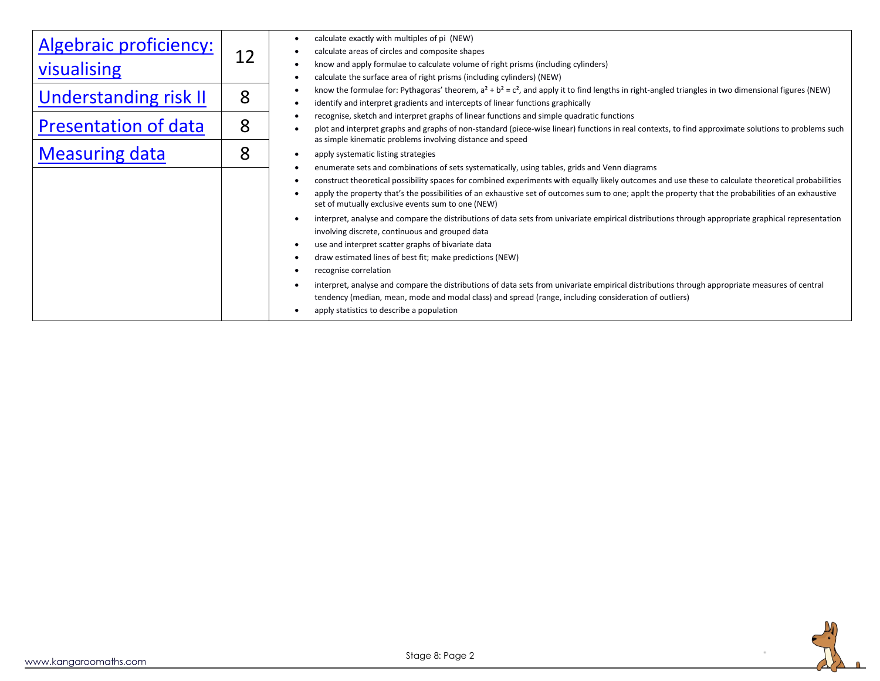| <b>Algebraic proficiency:</b><br>visualising | 12 | calculate exactly with multiples of pi (NEW)<br>$\bullet$<br>calculate areas of circles and composite shapes<br>know and apply formulae to calculate volume of right prisms (including cylinders)<br>calculate the surface area of right prisms (including cylinders) (NEW)                                                                                                                                                                                                                                                                                                                                                                             |
|----------------------------------------------|----|---------------------------------------------------------------------------------------------------------------------------------------------------------------------------------------------------------------------------------------------------------------------------------------------------------------------------------------------------------------------------------------------------------------------------------------------------------------------------------------------------------------------------------------------------------------------------------------------------------------------------------------------------------|
| <b>Understanding risk II</b>                 | 8  | know the formulae for: Pythagoras' theorem, $a^2 + b^2 = c^2$ , and apply it to find lengths in right-angled triangles in two dimensional figures (NEW)<br>identify and interpret gradients and intercepts of linear functions graphically<br>$\bullet$                                                                                                                                                                                                                                                                                                                                                                                                 |
| <b>Presentation of data</b>                  | 8  | recognise, sketch and interpret graphs of linear functions and simple quadratic functions<br>plot and interpret graphs and graphs of non-standard (piece-wise linear) functions in real contexts, to find approximate solutions to problems such<br>$\bullet$<br>as simple kinematic problems involving distance and speed                                                                                                                                                                                                                                                                                                                              |
| <b>Measuring data</b>                        | 8  | apply systematic listing strategies<br>$\bullet$<br>enumerate sets and combinations of sets systematically, using tables, grids and Venn diagrams<br>construct theoretical possibility spaces for combined experiments with equally likely outcomes and use these to calculate theoretical probabilities<br>apply the property that's the possibilities of an exhaustive set of outcomes sum to one; applt the property that the probabilities of an exhaustive<br>set of mutually exclusive events sum to one (NEW)                                                                                                                                    |
|                                              |    | interpret, analyse and compare the distributions of data sets from univariate empirical distributions through appropriate graphical representation<br>involving discrete, continuous and grouped data<br>use and interpret scatter graphs of bivariate data<br>draw estimated lines of best fit; make predictions (NEW)<br>recognise correlation<br>interpret, analyse and compare the distributions of data sets from univariate empirical distributions through appropriate measures of central<br>tendency (median, mean, mode and modal class) and spread (range, including consideration of outliers)<br>apply statistics to describe a population |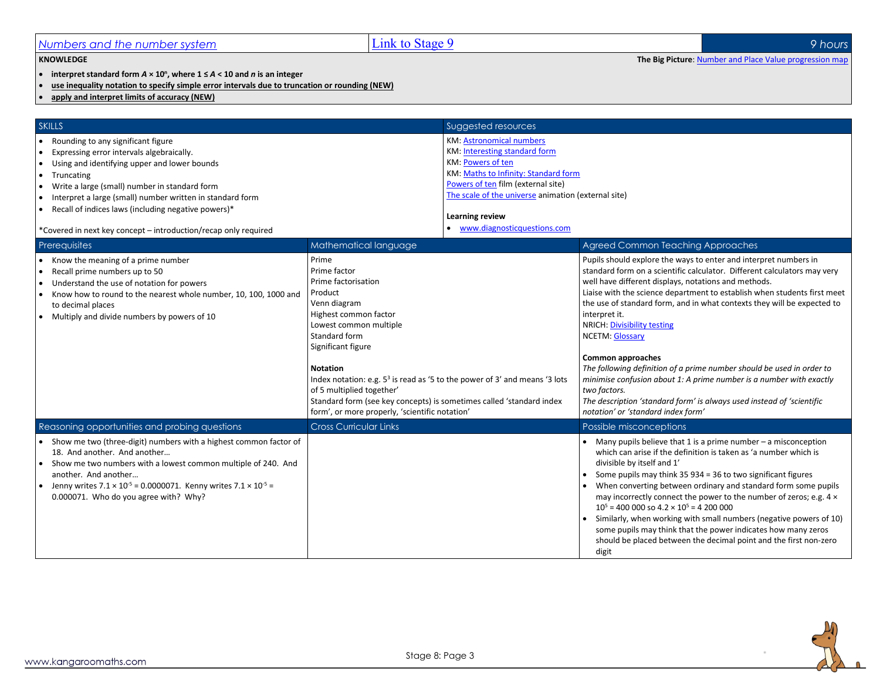### **KNOWLEDGE The Big Picture**[: Number and Place Value progression map](http://kangaroomaths.com/free_resources/planning/KM_MathematicsProgression_NumberPlaceValue.xlsx)

- **interpret standard form** *A* **× 10n, where 1 ≤** *A* **< 10 and** *n* **is an integer**
- **use inequality notation to specify simple error intervals due to truncation or rounding (NEW)**
- **apply and interpret limits of accuracy (NEW)**

| <b>SKILLS</b>                                                                                                                                                                                                                                                                                                                                                                                   |                                                                                                                                                                                                                                                                                                                                                                                                                                       | Suggested resources                                                                                                                                                                                                                                                            |                                                                                                                                                                                                                                                                                                                                                                                                                                                                                                                                                                                                                                                                                                                                                         |
|-------------------------------------------------------------------------------------------------------------------------------------------------------------------------------------------------------------------------------------------------------------------------------------------------------------------------------------------------------------------------------------------------|---------------------------------------------------------------------------------------------------------------------------------------------------------------------------------------------------------------------------------------------------------------------------------------------------------------------------------------------------------------------------------------------------------------------------------------|--------------------------------------------------------------------------------------------------------------------------------------------------------------------------------------------------------------------------------------------------------------------------------|---------------------------------------------------------------------------------------------------------------------------------------------------------------------------------------------------------------------------------------------------------------------------------------------------------------------------------------------------------------------------------------------------------------------------------------------------------------------------------------------------------------------------------------------------------------------------------------------------------------------------------------------------------------------------------------------------------------------------------------------------------|
| • Rounding to any significant figure<br>Expressing error intervals algebraically.<br>Using and identifying upper and lower bounds<br>• Truncating<br>• Write a large (small) number in standard form<br>• Interpret a large (small) number written in standard form<br>• Recall of indices laws (including negative powers)*<br>*Covered in next key concept - introduction/recap only required |                                                                                                                                                                                                                                                                                                                                                                                                                                       | <b>KM: Astronomical numbers</b><br>KM: Interesting standard form<br>KM: Powers of ten<br>KM: Maths to Infinity: Standard form<br>Powers of ten film (external site)<br>The scale of the universe animation (external site)<br>Learning review<br>• www.diagnosticquestions.com |                                                                                                                                                                                                                                                                                                                                                                                                                                                                                                                                                                                                                                                                                                                                                         |
| Prerequisites                                                                                                                                                                                                                                                                                                                                                                                   | Mathematical language                                                                                                                                                                                                                                                                                                                                                                                                                 |                                                                                                                                                                                                                                                                                | Agreed Common Teaching Approaches                                                                                                                                                                                                                                                                                                                                                                                                                                                                                                                                                                                                                                                                                                                       |
| • Know the meaning of a prime number<br>• Recall prime numbers up to 50<br>Understand the use of notation for powers<br>Know how to round to the nearest whole number, 10, 100, 1000 and<br>to decimal places<br>• Multiply and divide numbers by powers of 10                                                                                                                                  | Prime<br>Prime factor<br>Prime factorisation<br>Product<br>Venn diagram<br>Highest common factor<br>Lowest common multiple<br>Standard form<br>Significant figure<br><b>Notation</b><br>Index notation: e.g. 5 <sup>3</sup> is read as '5 to the power of 3' and means '3 lots<br>of 5 multiplied together'<br>Standard form (see key concepts) is sometimes called 'standard index<br>form', or more properly, 'scientific notation' |                                                                                                                                                                                                                                                                                | Pupils should explore the ways to enter and interpret numbers in<br>standard form on a scientific calculator. Different calculators may very<br>well have different displays, notations and methods.<br>Liaise with the science department to establish when students first meet<br>the use of standard form, and in what contexts they will be expected to<br>interpret it.<br><b>NRICH: Divisibility testing</b><br><b>NCETM: Glossary</b><br><b>Common approaches</b><br>The following definition of a prime number should be used in order to<br>minimise confusion about 1: A prime number is a number with exactly<br>two factors.<br>The description 'standard form' is always used instead of 'scientific<br>notation' or 'standard index form' |
| Reasoning opportunities and probing questions                                                                                                                                                                                                                                                                                                                                                   | <b>Cross Curricular Links</b>                                                                                                                                                                                                                                                                                                                                                                                                         |                                                                                                                                                                                                                                                                                | Possible misconceptions                                                                                                                                                                                                                                                                                                                                                                                                                                                                                                                                                                                                                                                                                                                                 |
| • Show me two (three-digit) numbers with a highest common factor of<br>18. And another. And another<br>• Show me two numbers with a lowest common multiple of 240. And<br>another. And another<br>• Jenny writes $7.1 \times 10^{-5} = 0.0000071$ . Kenny writes $7.1 \times 10^{-5} =$<br>0.000071. Who do you agree with? Why?                                                                |                                                                                                                                                                                                                                                                                                                                                                                                                                       |                                                                                                                                                                                                                                                                                | • Many pupils believe that 1 is a prime number $-$ a misconception<br>which can arise if the definition is taken as 'a number which is<br>divisible by itself and 1'<br>Some pupils may think 35 934 = 36 to two significant figures<br>When converting between ordinary and standard form some pupils<br>may incorrectly connect the power to the number of zeros; e.g. 4 x<br>$10^5$ = 400 000 so 4.2 $\times$ 10 <sup>5</sup> = 4 200 000<br>Similarly, when working with small numbers (negative powers of 10)<br>some pupils may think that the power indicates how many zeros<br>should be placed between the decimal point and the first non-zero<br>digit                                                                                       |

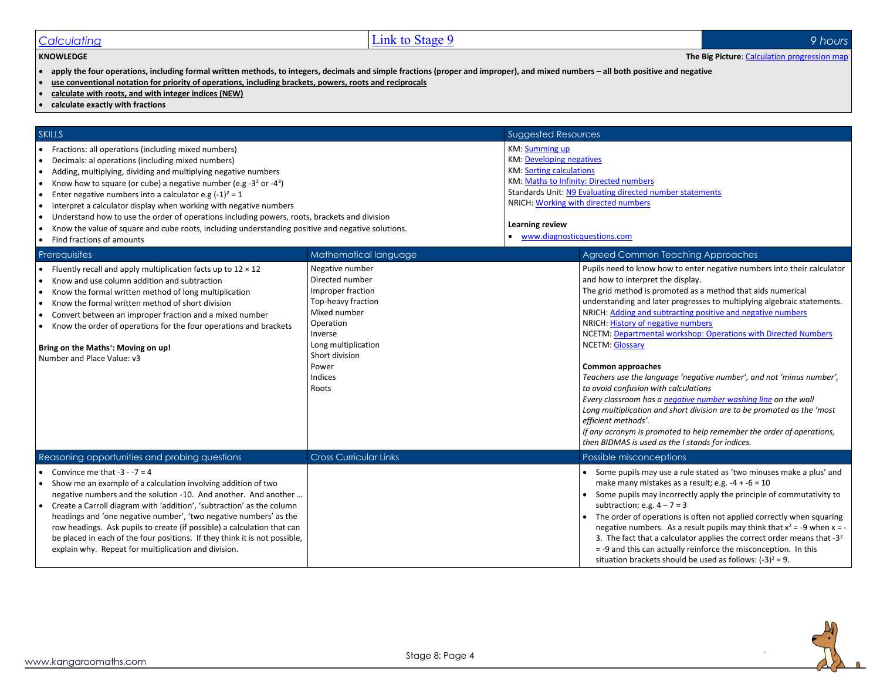# *Calculating* Link to Stage 9 *9 hours*

**KNOWLEDGE The Big Picture**[: Calculation progression map](http://kangaroomaths.com/free_resources/planning/KM_MathematicsProgression_NumberCalculation.xlsx)

- **apply the four operations, including formal written methods, to integers, decimals and simple fractions (proper and improper), and mixed numbers – all both positive and negative**
- **use conventional notation for priority of operations, including brackets, powers, roots and reciprocals**
- **calculate with roots, and with integer indices (NEW)**
- **calculate exactly with fractions**

| <b>SKILLS</b>                                                                                                                                                                                                                                                                                                                                                                                                                                                                                                                                                                                                                         |                                                                                                                                                                                             | <b>Suggested Resources</b>                                                                                                                                                                                                                                                                                                                                                                                                                                                                                                                                                                                                                                                                                                                                                                                                                                                                         |
|---------------------------------------------------------------------------------------------------------------------------------------------------------------------------------------------------------------------------------------------------------------------------------------------------------------------------------------------------------------------------------------------------------------------------------------------------------------------------------------------------------------------------------------------------------------------------------------------------------------------------------------|---------------------------------------------------------------------------------------------------------------------------------------------------------------------------------------------|----------------------------------------------------------------------------------------------------------------------------------------------------------------------------------------------------------------------------------------------------------------------------------------------------------------------------------------------------------------------------------------------------------------------------------------------------------------------------------------------------------------------------------------------------------------------------------------------------------------------------------------------------------------------------------------------------------------------------------------------------------------------------------------------------------------------------------------------------------------------------------------------------|
| Fractions: all operations (including mixed numbers)<br>Decimals: al operations (including mixed numbers)<br>Adding, multiplying, dividing and multiplying negative numbers<br>Know how to square (or cube) a negative number (e.g $-3^2$ or $-4^3$ )<br>Enter negative numbers into a calculator e.g $(-1)^2 = 1$<br>$\bullet$<br>Interpret a calculator display when working with negative numbers<br>Understand how to use the order of operations including powers, roots, brackets and division<br>Know the value of square and cube roots, including understanding positive and negative solutions.<br>Find fractions of amounts |                                                                                                                                                                                             | <b>KM: Summing up</b><br><b>KM: Developing negatives</b><br><b>KM: Sorting calculations</b><br>KM: Maths to Infinity: Directed numbers<br>Standards Unit: N9 Evaluating directed number statements<br>NRICH: Working with directed numbers<br>Learning review<br>• www.diagnosticquestions.com                                                                                                                                                                                                                                                                                                                                                                                                                                                                                                                                                                                                     |
| Prerequisites                                                                                                                                                                                                                                                                                                                                                                                                                                                                                                                                                                                                                         | Mathematical language                                                                                                                                                                       | <b>Agreed Common Teaching Approaches</b>                                                                                                                                                                                                                                                                                                                                                                                                                                                                                                                                                                                                                                                                                                                                                                                                                                                           |
| Fluently recall and apply multiplication facts up to $12 \times 12$<br>$\bullet$<br>Know and use column addition and subtraction<br>Know the formal written method of long multiplication<br>$\bullet$<br>Know the formal written method of short division<br>$\bullet$<br>Convert between an improper fraction and a mixed number<br>Know the order of operations for the four operations and brackets<br>Bring on the Maths <sup>+</sup> : Moving on up!<br>Number and Place Value: v3                                                                                                                                              | Negative number<br>Directed number<br>Improper fraction<br>Top-heavy fraction<br>Mixed number<br>Operation<br>Inverse<br>Long multiplication<br>Short division<br>Power<br>Indices<br>Roots | Pupils need to know how to enter negative numbers into their calculator<br>and how to interpret the display.<br>The grid method is promoted as a method that aids numerical<br>understanding and later progresses to multiplying algebraic statements.<br>NRICH: Adding and subtracting positive and negative numbers<br>NRICH: History of negative numbers<br>NCETM: Departmental workshop: Operations with Directed Numbers<br><b>NCETM: Glossary</b><br><b>Common approaches</b><br>Teachers use the language 'negative number', and not 'minus number',<br>to avoid confusion with calculations<br>Every classroom has a negative number washing line on the wall<br>Long multiplication and short division are to be promoted as the 'most<br>efficient methods'.<br>If any acronym is promoted to help remember the order of operations,<br>then BIDMAS is used as the I stands for indices. |
| Reasoning opportunities and probing questions                                                                                                                                                                                                                                                                                                                                                                                                                                                                                                                                                                                         | <b>Cross Curricular Links</b>                                                                                                                                                               | Possible misconceptions                                                                                                                                                                                                                                                                                                                                                                                                                                                                                                                                                                                                                                                                                                                                                                                                                                                                            |
| Convince me that $-3 - -7 = 4$<br>Show me an example of a calculation involving addition of two<br>negative numbers and the solution -10. And another. And another<br>Create a Carroll diagram with 'addition', 'subtraction' as the column<br>headings and 'one negative number', 'two negative numbers' as the<br>row headings. Ask pupils to create (if possible) a calculation that can<br>be placed in each of the four positions. If they think it is not possible,<br>explain why. Repeat for multiplication and division.                                                                                                     |                                                                                                                                                                                             | Some pupils may use a rule stated as 'two minuses make a plus' and<br>make many mistakes as a result; e.g. $-4 + -6 = 10$<br>Some pupils may incorrectly apply the principle of commutativity to<br>subtraction; e.g. $4 - 7 = 3$<br>The order of operations is often not applied correctly when squaring<br>negative numbers. As a result pupils may think that $x^2 = -9$ when $x = -2$<br>3. The fact that a calculator applies the correct order means that $-3^2$<br>= -9 and this can actually reinforce the misconception. In this<br>situation brackets should be used as follows: $(-3)^2 = 9$ .                                                                                                                                                                                                                                                                                          |

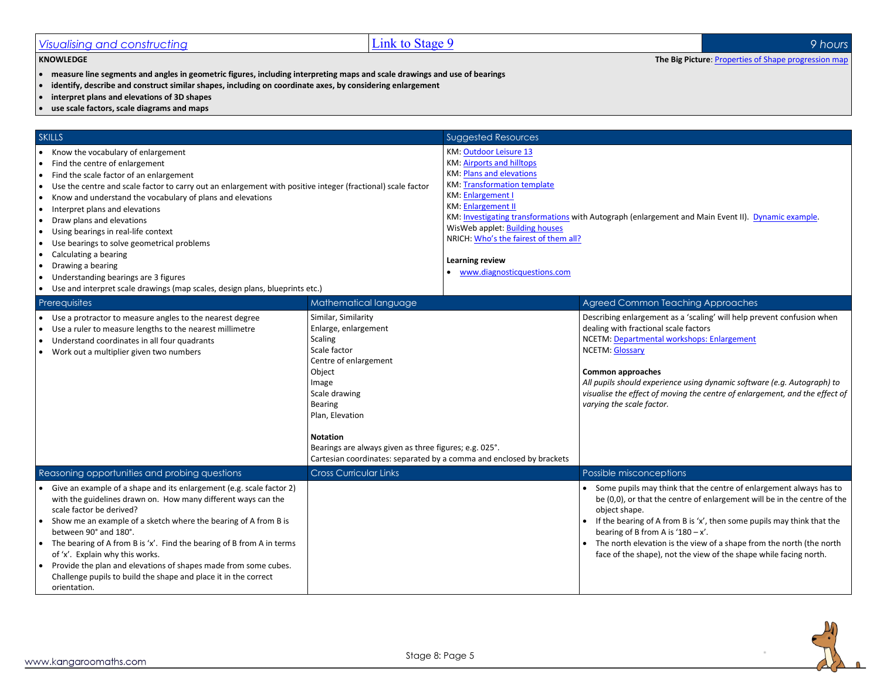# *Link to Stage 9 9 hours 9 hours*

**KNOWLEDGE The Big Picture**[: Properties of Shape progression map](http://kangaroomaths.com/free_resources/planning/KM_MathematicsProgression_GeometryPropertiesShape.xlsx)

- **measure line segments and angles in geometric figures, including interpreting maps and scale drawings and use of bearings**
- **identify, describe and construct similar shapes, including on coordinate axes, by considering enlargement**
- **interpret plans and elevations of 3D shapes**
- **use scale factors, scale diagrams and maps**

| <b>SKILLS</b>                                                                                                                                                                                                                                                                                                                                                                                                                                                                                                                                                                                                                                                     |                                                                                                                                                                                                                                                       | <b>Suggested Resources</b>                                                                                                                                                                                                                                                                                  |                                                                                                                                                                                                                                                                                                                                                                                                                                   |
|-------------------------------------------------------------------------------------------------------------------------------------------------------------------------------------------------------------------------------------------------------------------------------------------------------------------------------------------------------------------------------------------------------------------------------------------------------------------------------------------------------------------------------------------------------------------------------------------------------------------------------------------------------------------|-------------------------------------------------------------------------------------------------------------------------------------------------------------------------------------------------------------------------------------------------------|-------------------------------------------------------------------------------------------------------------------------------------------------------------------------------------------------------------------------------------------------------------------------------------------------------------|-----------------------------------------------------------------------------------------------------------------------------------------------------------------------------------------------------------------------------------------------------------------------------------------------------------------------------------------------------------------------------------------------------------------------------------|
| Know the vocabulary of enlargement<br>Find the centre of enlargement<br>• Find the scale factor of an enlargement<br>Use the centre and scale factor to carry out an enlargement with positive integer (fractional) scale factor<br>Know and understand the vocabulary of plans and elevations<br>$\bullet$<br>Interpret plans and elevations<br>Draw plans and elevations<br>Using bearings in real-life context<br>$\bullet$<br>Use bearings to solve geometrical problems<br>$\bullet$<br>Calculating a bearing<br>• Drawing a bearing<br>Understanding bearings are 3 figures<br>Use and interpret scale drawings (map scales, design plans, blueprints etc.) |                                                                                                                                                                                                                                                       | KM: Outdoor Leisure 13<br><b>KM: Airports and hilltops</b><br><b>KM: Plans and elevations</b><br><b>KM: Transformation template</b><br>KM: Enlargement I<br>KM: Enlargement II<br>WisWeb applet: Building houses<br>NRICH: Who's the fairest of them all?<br>Learning review<br>www.diagnosticquestions.com | KM: Investigating transformations with Autograph (enlargement and Main Event II). Dynamic example.                                                                                                                                                                                                                                                                                                                                |
| Prerequisites                                                                                                                                                                                                                                                                                                                                                                                                                                                                                                                                                                                                                                                     | Mathematical language                                                                                                                                                                                                                                 |                                                                                                                                                                                                                                                                                                             | Agreed Common Teaching Approaches                                                                                                                                                                                                                                                                                                                                                                                                 |
| Use a protractor to measure angles to the nearest degree<br>Use a ruler to measure lengths to the nearest millimetre<br>Understand coordinates in all four quadrants<br>Work out a multiplier given two numbers                                                                                                                                                                                                                                                                                                                                                                                                                                                   | Similar, Similarity<br>Enlarge, enlargement<br>Scaling<br>Scale factor<br>Centre of enlargement<br>Object<br>Image<br>Scale drawing<br><b>Bearing</b><br>Plan, Elevation<br><b>Notation</b><br>Bearings are always given as three figures; e.g. 025°. | Cartesian coordinates: separated by a comma and enclosed by brackets                                                                                                                                                                                                                                        | Describing enlargement as a 'scaling' will help prevent confusion when<br>dealing with fractional scale factors<br>NCETM: Departmental workshops: Enlargement<br><b>NCETM: Glossary</b><br>Common approaches<br>All pupils should experience using dynamic software (e.g. Autograph) to<br>visualise the effect of moving the centre of enlargement, and the effect of<br>varying the scale factor.                               |
| Reasoning opportunities and probing questions                                                                                                                                                                                                                                                                                                                                                                                                                                                                                                                                                                                                                     | <b>Cross Curricular Links</b>                                                                                                                                                                                                                         |                                                                                                                                                                                                                                                                                                             | Possible misconceptions                                                                                                                                                                                                                                                                                                                                                                                                           |
| • Give an example of a shape and its enlargement (e.g. scale factor 2)<br>with the guidelines drawn on. How many different ways can the<br>scale factor be derived?<br>Show me an example of a sketch where the bearing of A from B is<br>between 90° and 180°.<br>• The bearing of A from B is 'x'. Find the bearing of B from A in terms<br>of 'x'. Explain why this works.<br>• Provide the plan and elevations of shapes made from some cubes.<br>Challenge pupils to build the shape and place it in the correct<br>orientation.                                                                                                                             |                                                                                                                                                                                                                                                       |                                                                                                                                                                                                                                                                                                             | Some pupils may think that the centre of enlargement always has to<br>be (0,0), or that the centre of enlargement will be in the centre of the<br>object shape.<br>• If the bearing of A from B is 'x', then some pupils may think that the<br>bearing of B from A is '180 $-x'$ .<br>• The north elevation is the view of a shape from the north (the north<br>face of the shape), not the view of the shape while facing north. |

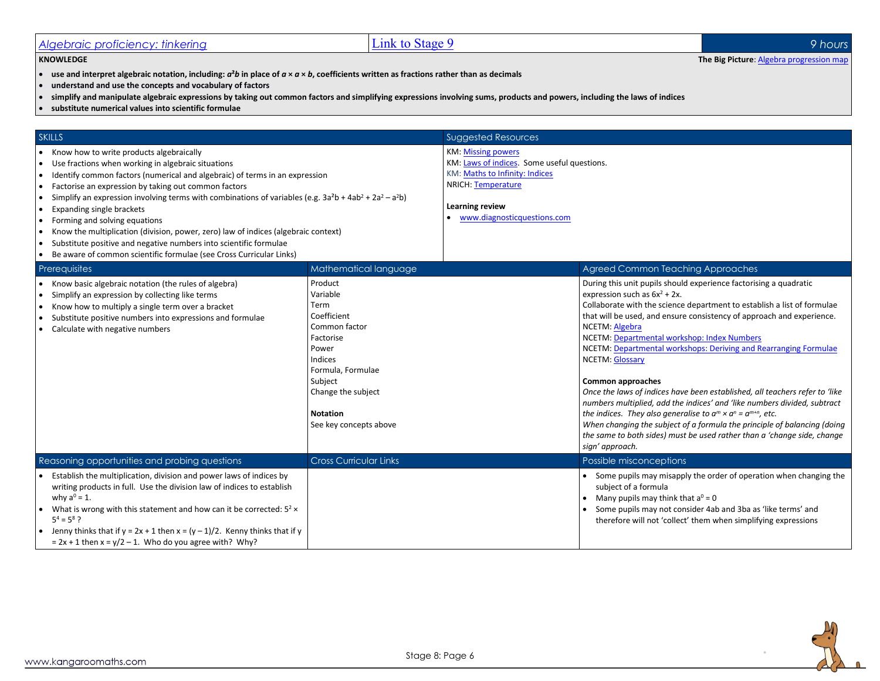### *Algebraic proficiency: tinkering* and the stage profit of the stage 9 9 *9 hours*

**KNOWLEDGE The Big Picture**[: Algebra progression map](http://kangaroomaths.com/free_resources/planning/KM_MathematicsProgression_Algebra.xlsx)

- use and interpret algebraic notation, including:  $a^2b$  in place of  $a \times a \times b$ , coefficients written as fractions rather than as decimals
- **understand and use the concepts and vocabulary of factors**
- **simplify and manipulate algebraic expressions by taking out common factors and simplifying expressions involving sums, products and powers, including the laws of indices**
- **substitute numerical values into scientific formulae**

| <b>SKILLS</b>                                                                                                                                                                                                                                                                                                                                                                                                                                                                                                                                                                                                                                                     |                                                                                                                                                                                                 | <b>Suggested Resources</b>                                                                                                                                                                |                                                                                                                                                                                                                                                                                                                                                                                                                                                                                                                                                                                                                                                                                                                                                                                                                                                                     |
|-------------------------------------------------------------------------------------------------------------------------------------------------------------------------------------------------------------------------------------------------------------------------------------------------------------------------------------------------------------------------------------------------------------------------------------------------------------------------------------------------------------------------------------------------------------------------------------------------------------------------------------------------------------------|-------------------------------------------------------------------------------------------------------------------------------------------------------------------------------------------------|-------------------------------------------------------------------------------------------------------------------------------------------------------------------------------------------|---------------------------------------------------------------------------------------------------------------------------------------------------------------------------------------------------------------------------------------------------------------------------------------------------------------------------------------------------------------------------------------------------------------------------------------------------------------------------------------------------------------------------------------------------------------------------------------------------------------------------------------------------------------------------------------------------------------------------------------------------------------------------------------------------------------------------------------------------------------------|
| Know how to write products algebraically<br>Use fractions when working in algebraic situations<br>Identify common factors (numerical and algebraic) of terms in an expression<br>Factorise an expression by taking out common factors<br>Simplify an expression involving terms with combinations of variables (e.g. $3a^2b + 4ab^2 + 2a^2 - a^2b$ )<br>Expanding single brackets<br>Forming and solving equations<br>$\bullet$<br>Know the multiplication (division, power, zero) law of indices (algebraic context)<br>Substitute positive and negative numbers into scientific formulae<br>Be aware of common scientific formulae (see Cross Curricular Links) |                                                                                                                                                                                                 | <b>KM: Missing powers</b><br>KM: Laws of indices. Some useful questions.<br>KM: Maths to Infinity: Indices<br><b>NRICH: Temperature</b><br>Learning review<br>www.diagnosticquestions.com |                                                                                                                                                                                                                                                                                                                                                                                                                                                                                                                                                                                                                                                                                                                                                                                                                                                                     |
| Prerequisites                                                                                                                                                                                                                                                                                                                                                                                                                                                                                                                                                                                                                                                     | Mathematical language                                                                                                                                                                           |                                                                                                                                                                                           | Agreed Common Teaching Approaches                                                                                                                                                                                                                                                                                                                                                                                                                                                                                                                                                                                                                                                                                                                                                                                                                                   |
| Know basic algebraic notation (the rules of algebra)<br>Simplify an expression by collecting like terms<br>Know how to multiply a single term over a bracket<br>Substitute positive numbers into expressions and formulae<br>Calculate with negative numbers                                                                                                                                                                                                                                                                                                                                                                                                      | Product<br>Variable<br>Term<br>Coefficient<br>Common factor<br>Factorise<br>Power<br>Indices<br>Formula, Formulae<br>Subject<br>Change the subject<br><b>Notation</b><br>See key concepts above |                                                                                                                                                                                           | During this unit pupils should experience factorising a quadratic<br>expression such as $6x^2 + 2x$ .<br>Collaborate with the science department to establish a list of formulae<br>that will be used, and ensure consistency of approach and experience.<br>NCETM: Algebra<br>NCETM: Departmental workshop: Index Numbers<br>NCETM: Departmental workshops: Deriving and Rearranging Formulae<br><b>NCETM: Glossary</b><br><b>Common approaches</b><br>Once the laws of indices have been established, all teachers refer to 'like<br>numbers multiplied, add the indices' and 'like numbers divided, subtract<br>the indices. They also generalise to $a^m \times a^n = a^{m+n}$ , etc.<br>When changing the subject of a formula the principle of balancing (doing<br>the same to both sides) must be used rather than a 'change side, change<br>sign' approach. |
| Reasoning opportunities and probing questions                                                                                                                                                                                                                                                                                                                                                                                                                                                                                                                                                                                                                     | <b>Cross Curricular Links</b>                                                                                                                                                                   |                                                                                                                                                                                           | Possible misconceptions                                                                                                                                                                                                                                                                                                                                                                                                                                                                                                                                                                                                                                                                                                                                                                                                                                             |
| Establish the multiplication, division and power laws of indices by<br>writing products in full. Use the division law of indices to establish<br>why $a^0 = 1$ .<br>What is wrong with this statement and how can it be corrected: $52$ x<br>$5^4 = 5^8$ ?<br>Jenny thinks that if $y = 2x + 1$ then $x = (y - 1)/2$ . Kenny thinks that if y<br>$= 2x + 1$ then $x = y/2 - 1$ . Who do you agree with? Why?                                                                                                                                                                                                                                                      |                                                                                                                                                                                                 |                                                                                                                                                                                           | Some pupils may misapply the order of operation when changing the<br>subject of a formula<br>Many pupils may think that $a^0 = 0$<br>Some pupils may not consider 4ab and 3ba as 'like terms' and<br>therefore will not 'collect' them when simplifying expressions                                                                                                                                                                                                                                                                                                                                                                                                                                                                                                                                                                                                 |

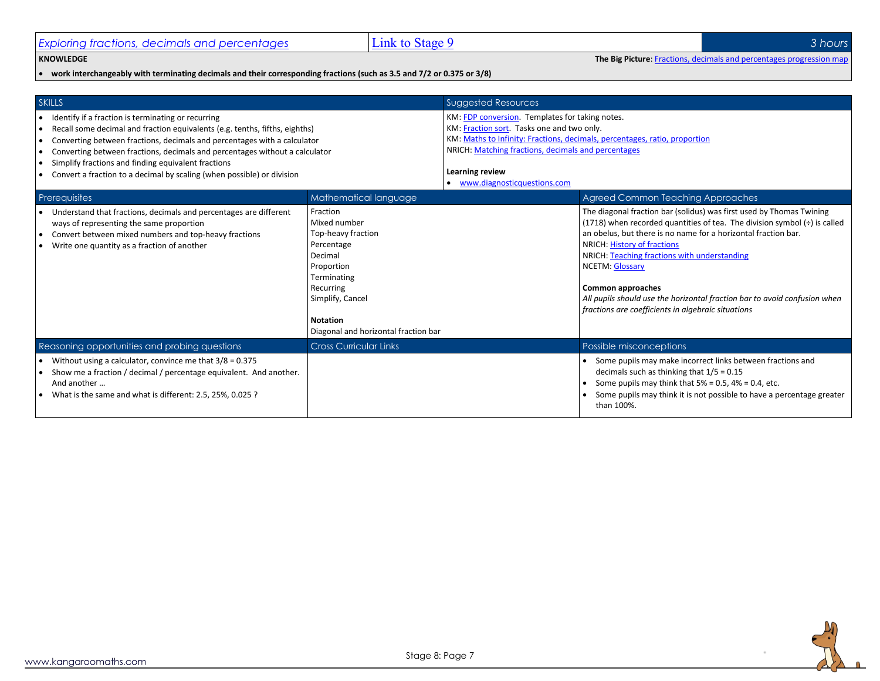| <b>Exploring fractions, decimals and percentages</b> | .1nk |                                                                      |
|------------------------------------------------------|------|----------------------------------------------------------------------|
| <b>KNOWLEDGE</b>                                     |      | The Big Picture: Fractions, decimals and percentages progression map |

• **work interchangeably with terminating decimals and their corresponding fractions (such as 3.5 and 7/2 or 0.375 or 3/8)**

| <b>SKILLS</b>                                                                                                                                                                                                                                                                                                                                                                                                                                                        |                                                                                                                                                                                                  | <b>Suggested Resources</b>                                                                                                                                                                                                                                                             |                                                                                                                                                                                                                                                                                                                                                                                                                                                                                                  |  |
|----------------------------------------------------------------------------------------------------------------------------------------------------------------------------------------------------------------------------------------------------------------------------------------------------------------------------------------------------------------------------------------------------------------------------------------------------------------------|--------------------------------------------------------------------------------------------------------------------------------------------------------------------------------------------------|----------------------------------------------------------------------------------------------------------------------------------------------------------------------------------------------------------------------------------------------------------------------------------------|--------------------------------------------------------------------------------------------------------------------------------------------------------------------------------------------------------------------------------------------------------------------------------------------------------------------------------------------------------------------------------------------------------------------------------------------------------------------------------------------------|--|
| Identify if a fraction is terminating or recurring<br>$\bullet$<br>Recall some decimal and fraction equivalents (e.g. tenths, fifths, eighths)<br>Converting between fractions, decimals and percentages with a calculator<br>$\bullet$<br>Converting between fractions, decimals and percentages without a calculator<br>$\bullet$<br>Simplify fractions and finding equivalent fractions<br>Convert a fraction to a decimal by scaling (when possible) or division |                                                                                                                                                                                                  | KM: FDP conversion. Templates for taking notes.<br>KM: Fraction sort. Tasks one and two only.<br>KM: Maths to Infinity: Fractions, decimals, percentages, ratio, proportion<br>NRICH: Matching fractions, decimals and percentages<br>Learning review<br>• www.diagnosticquestions.com |                                                                                                                                                                                                                                                                                                                                                                                                                                                                                                  |  |
| <b>Prerequisites</b>                                                                                                                                                                                                                                                                                                                                                                                                                                                 | Mathematical language                                                                                                                                                                            |                                                                                                                                                                                                                                                                                        | Agreed Common Teaching Approaches                                                                                                                                                                                                                                                                                                                                                                                                                                                                |  |
| Understand that fractions, decimals and percentages are different<br>ways of representing the same proportion<br>Convert between mixed numbers and top-heavy fractions<br>$\bullet$<br>Write one quantity as a fraction of another                                                                                                                                                                                                                                   | Fraction<br>Mixed number<br>Top-heavy fraction<br>Percentage<br>Decimal<br>Proportion<br>Terminating<br>Recurring<br>Simplify, Cancel<br><b>Notation</b><br>Diagonal and horizontal fraction bar |                                                                                                                                                                                                                                                                                        | The diagonal fraction bar (solidus) was first used by Thomas Twining<br>(1718) when recorded quantities of tea. The division symbol $(\div)$ is called<br>an obelus, but there is no name for a horizontal fraction bar.<br>NRICH: History of fractions<br>NRICH: Teaching fractions with understanding<br><b>NCETM: Glossary</b><br><b>Common approaches</b><br>All pupils should use the horizontal fraction bar to avoid confusion when<br>fractions are coefficients in algebraic situations |  |
| Reasoning opportunities and probing questions                                                                                                                                                                                                                                                                                                                                                                                                                        | <b>Cross Curricular Links</b>                                                                                                                                                                    |                                                                                                                                                                                                                                                                                        | Possible misconceptions                                                                                                                                                                                                                                                                                                                                                                                                                                                                          |  |
| Without using a calculator, convince me that $3/8 = 0.375$<br>$\bullet$<br>Show me a fraction / decimal / percentage equivalent. And another.<br>And another<br>What is the same and what is different: 2.5, 25%, 0.025 ?                                                                                                                                                                                                                                            |                                                                                                                                                                                                  |                                                                                                                                                                                                                                                                                        | Some pupils may make incorrect links between fractions and<br>decimals such as thinking that $1/5 = 0.15$<br>Some pupils may think that $5\% = 0.5$ , $4\% = 0.4$ , etc.<br>$\bullet$<br>Some pupils may think it is not possible to have a percentage greater<br>than 100%.                                                                                                                                                                                                                     |  |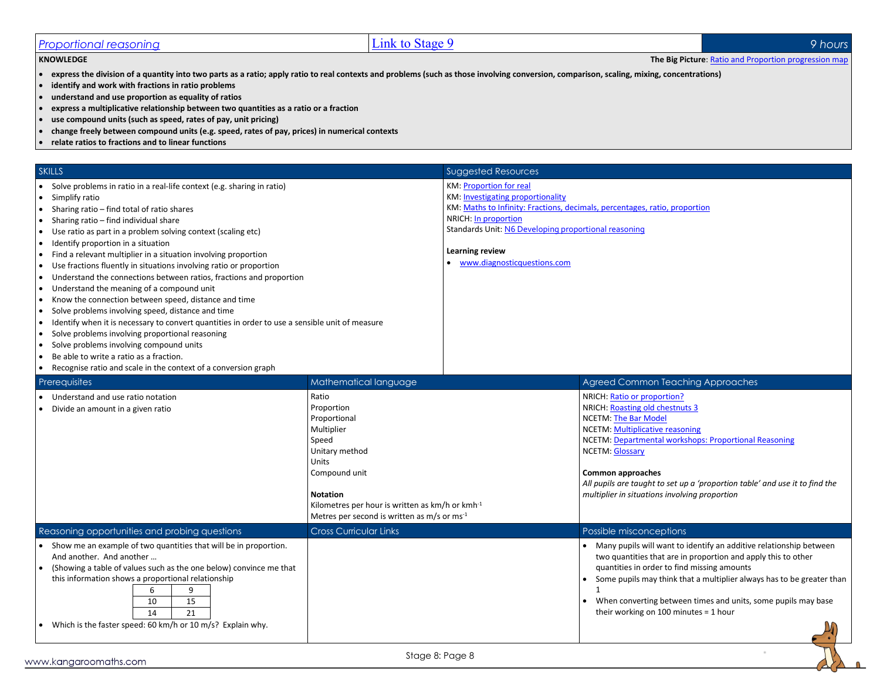### • **express the division of a quantity into two parts as a ratio; apply ratio to real contexts and problems (such as those involving conversion, comparison, scaling, mixing, concentrations)**

- **identify and work with fractions in ratio problems**
- **understand and use proportion as equality of ratios**
- **express a multiplicative relationship between two quantities as a ratio or a fraction**
- **use compound units (such as speed, rates of pay, unit pricing)**
- **change freely between compound units (e.g. speed, rates of pay, prices) in numerical contexts**
- **relate ratios to fractions and to linear functions**

| <b>SKILLS</b>                                                                                                                                                                                                                                                                                                                                                                                                                                                                                                                                                                                                                                                                                                                                                                                                                                                                                                                                                                                                                                                                                                                                                         |                                                                                                                                                                                                                                                       | <b>Suggested Resources</b>                                                                                                                                                                            |                                                                                                                                                                                                                                                                                                                                                                                        |
|-----------------------------------------------------------------------------------------------------------------------------------------------------------------------------------------------------------------------------------------------------------------------------------------------------------------------------------------------------------------------------------------------------------------------------------------------------------------------------------------------------------------------------------------------------------------------------------------------------------------------------------------------------------------------------------------------------------------------------------------------------------------------------------------------------------------------------------------------------------------------------------------------------------------------------------------------------------------------------------------------------------------------------------------------------------------------------------------------------------------------------------------------------------------------|-------------------------------------------------------------------------------------------------------------------------------------------------------------------------------------------------------------------------------------------------------|-------------------------------------------------------------------------------------------------------------------------------------------------------------------------------------------------------|----------------------------------------------------------------------------------------------------------------------------------------------------------------------------------------------------------------------------------------------------------------------------------------------------------------------------------------------------------------------------------------|
| • Solve problems in ratio in a real-life context (e.g. sharing in ratio)<br>Simplify ratio<br>$\bullet$<br>• Sharing ratio – find total of ratio shares<br>Sharing ratio - find individual share<br>Use ratio as part in a problem solving context (scaling etc)<br>$\bullet$<br>Identify proportion in a situation<br>$\bullet$<br>Find a relevant multiplier in a situation involving proportion<br>$\bullet$<br>Use fractions fluently in situations involving ratio or proportion<br>$\bullet$<br>Understand the connections between ratios, fractions and proportion<br>$\bullet$<br>Understand the meaning of a compound unit<br>$\bullet$<br>Know the connection between speed, distance and time<br>$\bullet$<br>Solve problems involving speed, distance and time<br>$\bullet$<br>Identify when it is necessary to convert quantities in order to use a sensible unit of measure<br>$\bullet$<br>Solve problems involving proportional reasoning<br>$\bullet$<br>Solve problems involving compound units<br>$\bullet$<br>Be able to write a ratio as a fraction.<br>$\bullet$<br>Recognise ratio and scale in the context of a conversion graph<br>$\bullet$ |                                                                                                                                                                                                                                                       | <b>KM: Proportion for real</b><br>KM: Investigating proportionality<br>NRICH: In proportion<br>Standards Unit: N6 Developing proportional reasoning<br>Learning review<br>www.diagnosticquestions.com | KM: Maths to Infinity: Fractions, decimals, percentages, ratio, proportion                                                                                                                                                                                                                                                                                                             |
| Prerequisites                                                                                                                                                                                                                                                                                                                                                                                                                                                                                                                                                                                                                                                                                                                                                                                                                                                                                                                                                                                                                                                                                                                                                         | Mathematical language                                                                                                                                                                                                                                 |                                                                                                                                                                                                       | Agreed Common Teaching Approaches                                                                                                                                                                                                                                                                                                                                                      |
| Understand and use ratio notation<br>• Divide an amount in a given ratio                                                                                                                                                                                                                                                                                                                                                                                                                                                                                                                                                                                                                                                                                                                                                                                                                                                                                                                                                                                                                                                                                              | Ratio<br>Proportion<br>Proportional<br>Multiplier<br>Speed<br>Unitary method<br><b>Units</b><br>Compound unit<br><b>Notation</b><br>Kilometres per hour is written as km/h or kmh <sup>-1</sup><br>Metres per second is written as $m/s$ or $ms^{-1}$ |                                                                                                                                                                                                       | NRICH: Ratio or proportion?<br>NRICH: Roasting old chestnuts 3<br><b>NCETM: The Bar Model</b><br><b>NCETM: Multiplicative reasoning</b><br>NCETM: Departmental workshops: Proportional Reasoning<br><b>NCETM: Glossary</b><br><b>Common approaches</b><br>All pupils are taught to set up a 'proportion table' and use it to find the<br>multiplier in situations involving proportion |
| Reasoning opportunities and probing questions                                                                                                                                                                                                                                                                                                                                                                                                                                                                                                                                                                                                                                                                                                                                                                                                                                                                                                                                                                                                                                                                                                                         | <b>Cross Curricular Links</b>                                                                                                                                                                                                                         |                                                                                                                                                                                                       | Possible misconceptions                                                                                                                                                                                                                                                                                                                                                                |
| • Show me an example of two quantities that will be in proportion.<br>And another. And another<br>(Showing a table of values such as the one below) convince me that<br>this information shows a proportional relationship<br>9<br>6<br>15<br>10<br>14<br>21<br>• Which is the faster speed: 60 km/h or 10 m/s? Explain why.                                                                                                                                                                                                                                                                                                                                                                                                                                                                                                                                                                                                                                                                                                                                                                                                                                          |                                                                                                                                                                                                                                                       |                                                                                                                                                                                                       | Many pupils will want to identify an additive relationship between<br>two quantities that are in proportion and apply this to other<br>quantities in order to find missing amounts<br>Some pupils may think that a multiplier always has to be greater than<br>When converting between times and units, some pupils may base<br>their working on 100 minutes = $1$ hour                |

 $\sim$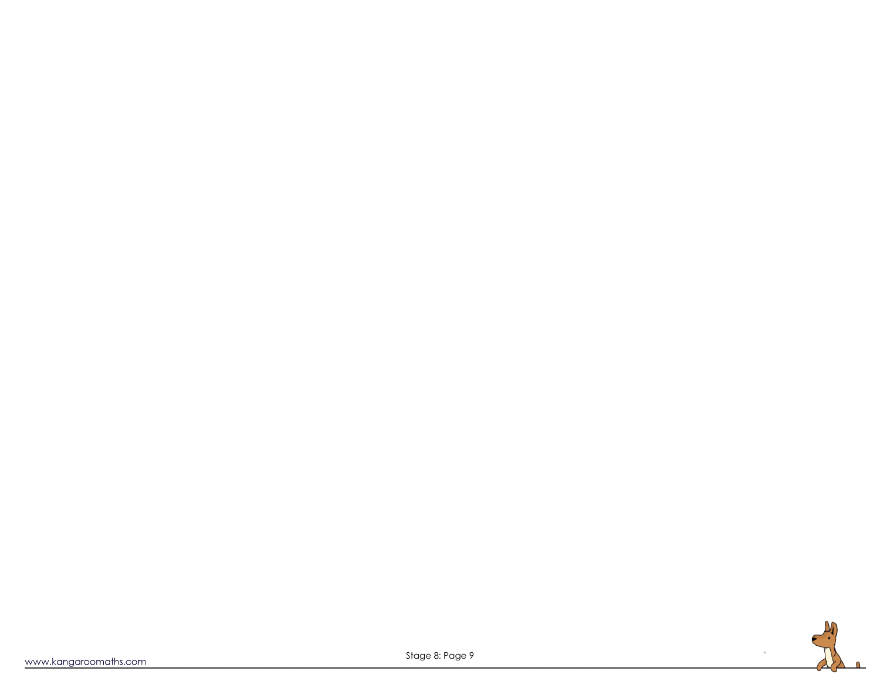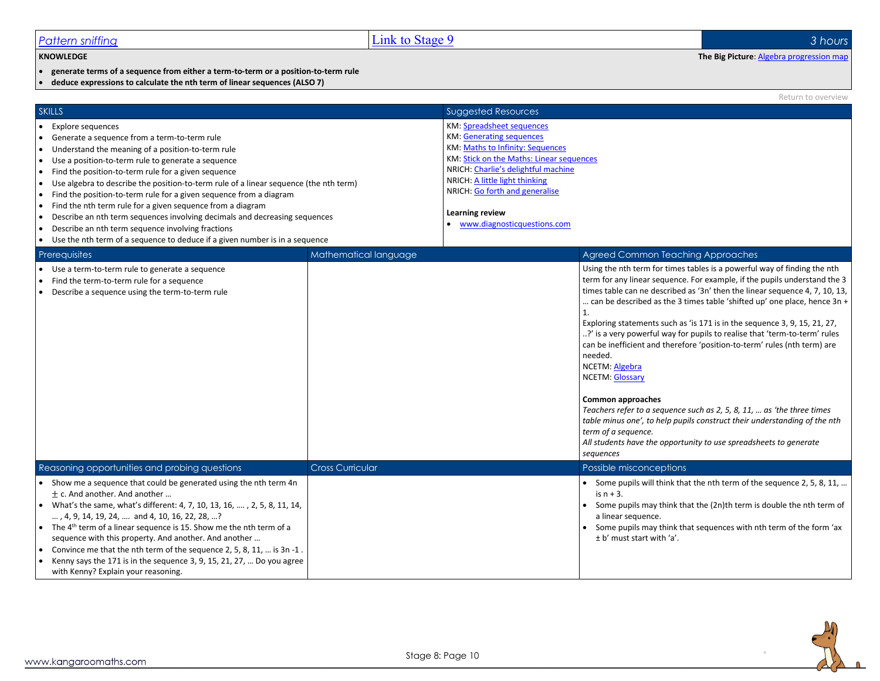### *Pattern sniffing* Link to Stage 9 *3 hours*

**KNOWLEDGE The Big Picture**[: Algebra progression map](http://kangaroomaths.com/free_resources/planning/KM_MathematicsProgression_Algebra.xlsx)

- **generate terms of a sequence from either a term-to-term or a position-to-term rule**
- **deduce expressions to calculate the nth term of linear sequences (ALSO 7)**

Return to overview

| <b>SKILLS</b>                                                                                                                                                                                                                                                                                                                                                                                                                                                                                                                                                                                                                                                                                                                                                                                                               |                         | <b>Suggested Resources</b>                                                                                                                                                                                                                                                                                  |                                                                                                                                                                                                                                                                                                                                                                                                                                                                                                                                                                                                                                                                                                                                                                                                                                                                                                                 |
|-----------------------------------------------------------------------------------------------------------------------------------------------------------------------------------------------------------------------------------------------------------------------------------------------------------------------------------------------------------------------------------------------------------------------------------------------------------------------------------------------------------------------------------------------------------------------------------------------------------------------------------------------------------------------------------------------------------------------------------------------------------------------------------------------------------------------------|-------------------------|-------------------------------------------------------------------------------------------------------------------------------------------------------------------------------------------------------------------------------------------------------------------------------------------------------------|-----------------------------------------------------------------------------------------------------------------------------------------------------------------------------------------------------------------------------------------------------------------------------------------------------------------------------------------------------------------------------------------------------------------------------------------------------------------------------------------------------------------------------------------------------------------------------------------------------------------------------------------------------------------------------------------------------------------------------------------------------------------------------------------------------------------------------------------------------------------------------------------------------------------|
| <b>Explore sequences</b><br>Generate a sequence from a term-to-term rule<br>$\bullet$<br>Understand the meaning of a position-to-term rule<br>$\bullet$<br>Use a position-to-term rule to generate a sequence<br>$\bullet$<br>Find the position-to-term rule for a given sequence<br>$\bullet$<br>Use algebra to describe the position-to-term rule of a linear sequence (the nth term)<br>$\bullet$<br>Find the position-to-term rule for a given sequence from a diagram<br>$\bullet$<br>Find the nth term rule for a given sequence from a diagram<br>$\bullet$<br>Describe an nth term sequences involving decimals and decreasing sequences<br>$\bullet$<br>Describe an nth term sequence involving fractions<br>$\bullet$<br>Use the nth term of a sequence to deduce if a given number is in a sequence<br>$\bullet$ |                         | KM: Spreadsheet sequences<br><b>KM: Generating sequences</b><br>KM: Maths to Infinity: Sequences<br>KM: Stick on the Maths: Linear sequences<br>NRICH: Charlie's delightful machine<br>NRICH: A little light thinking<br>NRICH: Go forth and generalise<br>Learning review<br>• www.diagnosticquestions.com |                                                                                                                                                                                                                                                                                                                                                                                                                                                                                                                                                                                                                                                                                                                                                                                                                                                                                                                 |
| Prerequisites                                                                                                                                                                                                                                                                                                                                                                                                                                                                                                                                                                                                                                                                                                                                                                                                               | Mathematical language   |                                                                                                                                                                                                                                                                                                             | Agreed Common Teaching Approaches                                                                                                                                                                                                                                                                                                                                                                                                                                                                                                                                                                                                                                                                                                                                                                                                                                                                               |
| Use a term-to-term rule to generate a sequence<br>$\bullet$<br>Find the term-to-term rule for a sequence<br>$\bullet$<br>Describe a sequence using the term-to-term rule                                                                                                                                                                                                                                                                                                                                                                                                                                                                                                                                                                                                                                                    |                         |                                                                                                                                                                                                                                                                                                             | Using the nth term for times tables is a powerful way of finding the nth<br>term for any linear sequence. For example, if the pupils understand the 3<br>times table can ne described as '3n' then the linear sequence 4, 7, 10, 13,<br>can be described as the 3 times table 'shifted up' one place, hence 3n +<br>1.<br>Exploring statements such as 'is 171 is in the sequence 3, 9, 15, 21, 27,<br>?' is a very powerful way for pupils to realise that 'term-to-term' rules<br>can be inefficient and therefore 'position-to-term' rules (nth term) are<br>needed.<br>NCETM: Algebra<br><b>NCETM: Glossary</b><br><b>Common approaches</b><br>Teachers refer to a sequence such as 2, 5, 8, 11,  as 'the three times<br>table minus one', to help pupils construct their understanding of the nth<br>term of a sequence.<br>All students have the opportunity to use spreadsheets to generate<br>sequences |
| Reasoning opportunities and probing questions                                                                                                                                                                                                                                                                                                                                                                                                                                                                                                                                                                                                                                                                                                                                                                               | <b>Cross Curricular</b> |                                                                                                                                                                                                                                                                                                             | Possible misconceptions                                                                                                                                                                                                                                                                                                                                                                                                                                                                                                                                                                                                                                                                                                                                                                                                                                                                                         |
| Show me a sequence that could be generated using the nth term 4n<br>$\pm$ c. And another. And another<br>What's the same, what's different: 4, 7, 10, 13, 16, , 2, 5, 8, 11, 14,<br>, 4, 9, 14, 19, 24,  and 4, 10, 16, 22, 28, ?<br>$\bullet$ The 4 <sup>th</sup> term of a linear sequence is 15. Show me the nth term of a<br>sequence with this property. And another. And another<br>Convince me that the nth term of the sequence 2, 5, 8, 11,  is 3n -1.<br>Kenny says the 171 is in the sequence 3, 9, 15, 21, 27,  Do you agree<br>with Kenny? Explain your reasoning.                                                                                                                                                                                                                                             |                         |                                                                                                                                                                                                                                                                                                             | Some pupils will think that the nth term of the sequence 2, 5, 8, 11,<br>is $n + 3$ .<br>• Some pupils may think that the (2n)th term is double the nth term of<br>a linear sequence.<br>• Some pupils may think that sequences with nth term of the form 'ax<br>± b' must start with 'a'.                                                                                                                                                                                                                                                                                                                                                                                                                                                                                                                                                                                                                      |

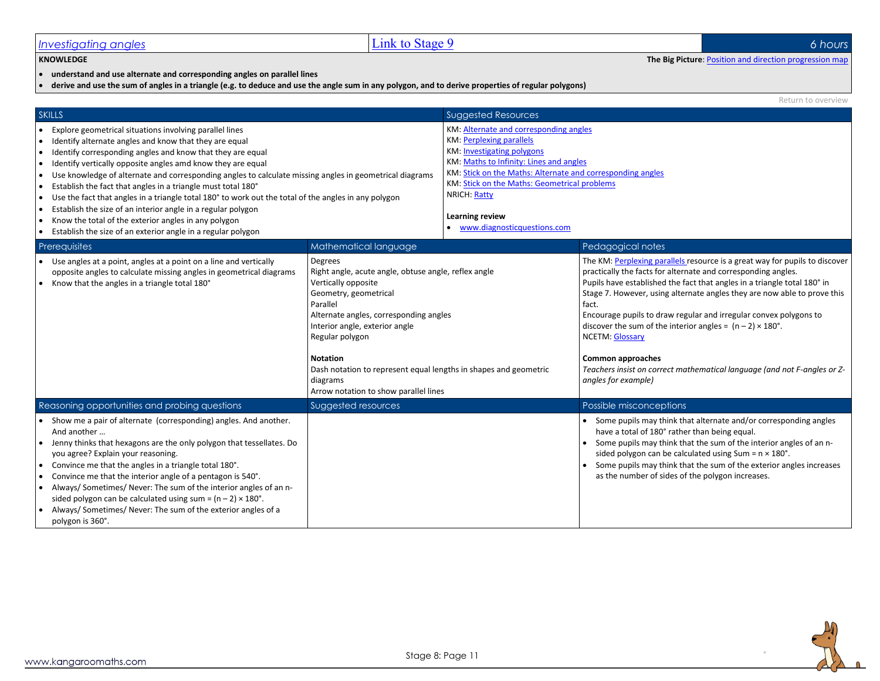| <u>Investigating angles</u>                                                                                                                          | Link to Stage 9 | 6 hours                                                 |
|------------------------------------------------------------------------------------------------------------------------------------------------------|-----------------|---------------------------------------------------------|
| <b>KNOWLEDGE</b>                                                                                                                                     |                 | The Big Picture: Position and direction progression map |
| • understand and use alternate and corresponding angles on parallel lines                                                                            |                 |                                                         |
| • derive and use the sum of angles in a triangle (e.g. to deduce and use the angle sum in any polygon, and to derive properties of regular polygons) |                 |                                                         |
|                                                                                                                                                      |                 |                                                         |

Return to overview

|                                                                                                                                                                                                                                                                                                                                                                                                                                                                                                                                                                                                                                                                                                                                                                                                                                                  | <b>SKILLS</b>                                                                                                                                                                                                                                                                                                                                                                                                                                                                                                                                                             |                                                                                                                                                                                                                                                                                                                                                                        | <b>Suggested Resources</b>                                                                                                                                                                                                                                                                                                                       |                                                                                                                                                                                                                                                                                                                                                                                                                                                                                                                                                                                                                       |
|--------------------------------------------------------------------------------------------------------------------------------------------------------------------------------------------------------------------------------------------------------------------------------------------------------------------------------------------------------------------------------------------------------------------------------------------------------------------------------------------------------------------------------------------------------------------------------------------------------------------------------------------------------------------------------------------------------------------------------------------------------------------------------------------------------------------------------------------------|---------------------------------------------------------------------------------------------------------------------------------------------------------------------------------------------------------------------------------------------------------------------------------------------------------------------------------------------------------------------------------------------------------------------------------------------------------------------------------------------------------------------------------------------------------------------------|------------------------------------------------------------------------------------------------------------------------------------------------------------------------------------------------------------------------------------------------------------------------------------------------------------------------------------------------------------------------|--------------------------------------------------------------------------------------------------------------------------------------------------------------------------------------------------------------------------------------------------------------------------------------------------------------------------------------------------|-----------------------------------------------------------------------------------------------------------------------------------------------------------------------------------------------------------------------------------------------------------------------------------------------------------------------------------------------------------------------------------------------------------------------------------------------------------------------------------------------------------------------------------------------------------------------------------------------------------------------|
| • Explore geometrical situations involving parallel lines<br>Identify alternate angles and know that they are equal<br>$\bullet$<br>Identify corresponding angles and know that they are equal<br>$\bullet$<br>Identify vertically opposite angles amd know they are equal<br>$\bullet$<br>Use knowledge of alternate and corresponding angles to calculate missing angles in geometrical diagrams<br>$\bullet$<br>Establish the fact that angles in a triangle must total 180°<br>$\bullet$<br>Use the fact that angles in a triangle total 180° to work out the total of the angles in any polygon<br>$\bullet$<br>Establish the size of an interior angle in a regular polygon<br>$\bullet$<br>Know the total of the exterior angles in any polygon<br>$\bullet$<br>Establish the size of an exterior angle in a regular polygon<br>$\bullet$ |                                                                                                                                                                                                                                                                                                                                                                                                                                                                                                                                                                           |                                                                                                                                                                                                                                                                                                                                                                        | KM: Alternate and corresponding angles<br><b>KM: Perplexing parallels</b><br><b>KM: Investigating polygons</b><br>KM: Maths to Infinity: Lines and angles<br>KM: Stick on the Maths: Alternate and corresponding angles<br>KM: Stick on the Maths: Geometrical problems<br><b>NRICH: Ratty</b><br>Learning review<br>www.diagnosticquestions.com |                                                                                                                                                                                                                                                                                                                                                                                                                                                                                                                                                                                                                       |
|                                                                                                                                                                                                                                                                                                                                                                                                                                                                                                                                                                                                                                                                                                                                                                                                                                                  | Prerequisites                                                                                                                                                                                                                                                                                                                                                                                                                                                                                                                                                             | Mathematical language                                                                                                                                                                                                                                                                                                                                                  |                                                                                                                                                                                                                                                                                                                                                  | Pedagogical notes                                                                                                                                                                                                                                                                                                                                                                                                                                                                                                                                                                                                     |
|                                                                                                                                                                                                                                                                                                                                                                                                                                                                                                                                                                                                                                                                                                                                                                                                                                                  | • Use angles at a point, angles at a point on a line and vertically<br>opposite angles to calculate missing angles in geometrical diagrams<br>• Know that the angles in a triangle total 180°                                                                                                                                                                                                                                                                                                                                                                             | Degrees<br>Right angle, acute angle, obtuse angle, reflex angle<br>Vertically opposite<br>Geometry, geometrical<br>Parallel<br>Alternate angles, corresponding angles<br>Interior angle, exterior angle<br>Regular polygon<br><b>Notation</b><br>Dash notation to represent equal lengths in shapes and geometric<br>diagrams<br>Arrow notation to show parallel lines |                                                                                                                                                                                                                                                                                                                                                  | The KM: Perplexing parallels resource is a great way for pupils to discover<br>practically the facts for alternate and corresponding angles.<br>Pupils have established the fact that angles in a triangle total 180° in<br>Stage 7. However, using alternate angles they are now able to prove this<br>fact.<br>Encourage pupils to draw regular and irregular convex polygons to<br>discover the sum of the interior angles = $(n-2) \times 180^{\circ}$ .<br><b>NCETM: Glossary</b><br><b>Common approaches</b><br>Teachers insist on correct mathematical language (and not F-angles or Z-<br>angles for example) |
|                                                                                                                                                                                                                                                                                                                                                                                                                                                                                                                                                                                                                                                                                                                                                                                                                                                  | Reasoning opportunities and probing questions                                                                                                                                                                                                                                                                                                                                                                                                                                                                                                                             | Suggested resources                                                                                                                                                                                                                                                                                                                                                    |                                                                                                                                                                                                                                                                                                                                                  | Possible misconceptions                                                                                                                                                                                                                                                                                                                                                                                                                                                                                                                                                                                               |
|                                                                                                                                                                                                                                                                                                                                                                                                                                                                                                                                                                                                                                                                                                                                                                                                                                                  | • Show me a pair of alternate (corresponding) angles. And another.<br>And another<br>Jenny thinks that hexagons are the only polygon that tessellates. Do<br>you agree? Explain your reasoning.<br>Convince me that the angles in a triangle total 180°.<br>Convince me that the interior angle of a pentagon is 540°.<br>Always/ Sometimes/ Never: The sum of the interior angles of an n-<br>$\bullet$<br>sided polygon can be calculated using sum = $(n - 2) \times 180^{\circ}$ .<br>Always/Sometimes/Never: The sum of the exterior angles of a<br>polygon is 360°. |                                                                                                                                                                                                                                                                                                                                                                        |                                                                                                                                                                                                                                                                                                                                                  | Some pupils may think that alternate and/or corresponding angles<br>have a total of 180° rather than being equal.<br>Some pupils may think that the sum of the interior angles of an n-<br>$\bullet$<br>sided polygon can be calculated using Sum = $n \times 180^\circ$ .<br>Some pupils may think that the sum of the exterior angles increases<br>as the number of sides of the polygon increases.                                                                                                                                                                                                                 |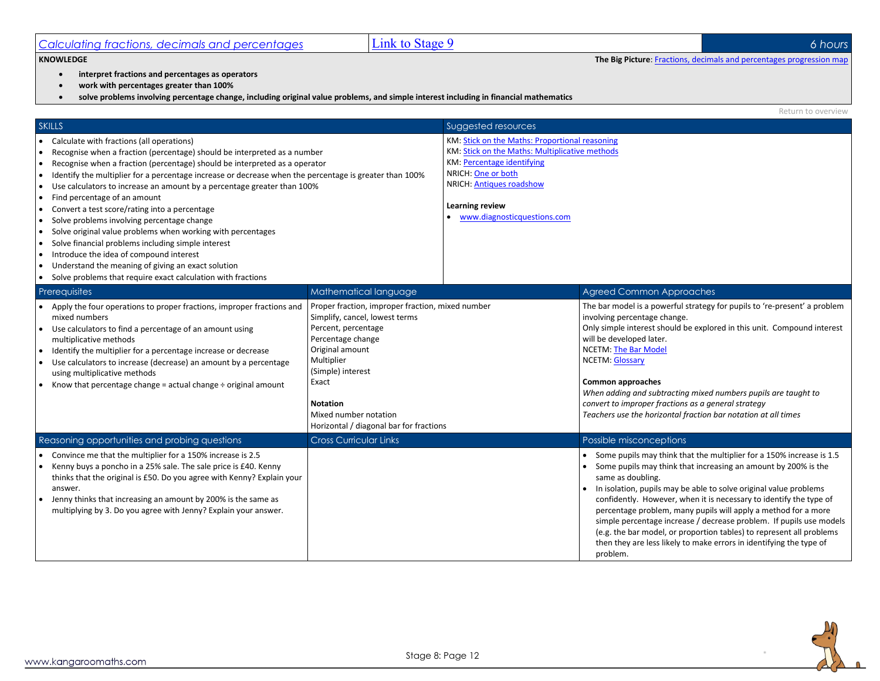| <b>KNOWLEDGE</b>                                                                                                                                                                                                                                                                                                                                                                                                                                                                                                                                                                                                                                                                                                                                                                                              | The Big Picture: Fractions, decimals and percentages progression map                                                                                                                                                                                                                 |                                                                                                                                                                                                                                      |                                                                                                                                                                                                                                                                                                                                                                                                                                                                                                                                                                                                                         |
|---------------------------------------------------------------------------------------------------------------------------------------------------------------------------------------------------------------------------------------------------------------------------------------------------------------------------------------------------------------------------------------------------------------------------------------------------------------------------------------------------------------------------------------------------------------------------------------------------------------------------------------------------------------------------------------------------------------------------------------------------------------------------------------------------------------|--------------------------------------------------------------------------------------------------------------------------------------------------------------------------------------------------------------------------------------------------------------------------------------|--------------------------------------------------------------------------------------------------------------------------------------------------------------------------------------------------------------------------------------|-------------------------------------------------------------------------------------------------------------------------------------------------------------------------------------------------------------------------------------------------------------------------------------------------------------------------------------------------------------------------------------------------------------------------------------------------------------------------------------------------------------------------------------------------------------------------------------------------------------------------|
| interpret fractions and percentages as operators                                                                                                                                                                                                                                                                                                                                                                                                                                                                                                                                                                                                                                                                                                                                                              |                                                                                                                                                                                                                                                                                      |                                                                                                                                                                                                                                      |                                                                                                                                                                                                                                                                                                                                                                                                                                                                                                                                                                                                                         |
| work with percentages greater than 100%                                                                                                                                                                                                                                                                                                                                                                                                                                                                                                                                                                                                                                                                                                                                                                       |                                                                                                                                                                                                                                                                                      |                                                                                                                                                                                                                                      |                                                                                                                                                                                                                                                                                                                                                                                                                                                                                                                                                                                                                         |
| solve problems involving percentage change, including original value problems, and simple interest including in financial mathematics                                                                                                                                                                                                                                                                                                                                                                                                                                                                                                                                                                                                                                                                         |                                                                                                                                                                                                                                                                                      |                                                                                                                                                                                                                                      |                                                                                                                                                                                                                                                                                                                                                                                                                                                                                                                                                                                                                         |
|                                                                                                                                                                                                                                                                                                                                                                                                                                                                                                                                                                                                                                                                                                                                                                                                               |                                                                                                                                                                                                                                                                                      |                                                                                                                                                                                                                                      | Return to overview                                                                                                                                                                                                                                                                                                                                                                                                                                                                                                                                                                                                      |
| <b>SKILLS</b>                                                                                                                                                                                                                                                                                                                                                                                                                                                                                                                                                                                                                                                                                                                                                                                                 |                                                                                                                                                                                                                                                                                      | Suggested resources                                                                                                                                                                                                                  |                                                                                                                                                                                                                                                                                                                                                                                                                                                                                                                                                                                                                         |
| Calculate with fractions (all operations)<br>Recognise when a fraction (percentage) should be interpreted as a number<br>Recognise when a fraction (percentage) should be interpreted as a operator<br>Identify the multiplier for a percentage increase or decrease when the percentage is greater than 100%<br>Use calculators to increase an amount by a percentage greater than 100%<br>Find percentage of an amount<br>Convert a test score/rating into a percentage<br>Solve problems involving percentage change<br>Solve original value problems when working with percentages<br>Solve financial problems including simple interest<br>Introduce the idea of compound interest<br>Understand the meaning of giving an exact solution<br>Solve problems that require exact calculation with fractions |                                                                                                                                                                                                                                                                                      | KM: Stick on the Maths: Proportional reasoning<br>KM: Stick on the Maths: Multiplicative methods<br>KM: Percentage identifying<br>NRICH: One or both<br>NRICH: Antiques roadshow<br>Learning review<br>• www.diagnosticquestions.com |                                                                                                                                                                                                                                                                                                                                                                                                                                                                                                                                                                                                                         |
| Prerequisites                                                                                                                                                                                                                                                                                                                                                                                                                                                                                                                                                                                                                                                                                                                                                                                                 | Mathematical language                                                                                                                                                                                                                                                                |                                                                                                                                                                                                                                      | <b>Agreed Common Approaches</b>                                                                                                                                                                                                                                                                                                                                                                                                                                                                                                                                                                                         |
| Apply the four operations to proper fractions, improper fractions and<br>mixed numbers<br>Use calculators to find a percentage of an amount using<br>multiplicative methods<br>Identify the multiplier for a percentage increase or decrease<br>Use calculators to increase (decrease) an amount by a percentage<br>using multiplicative methods<br>• Know that percentage change = actual change $\div$ original amount                                                                                                                                                                                                                                                                                                                                                                                      | Proper fraction, improper fraction, mixed number<br>Simplify, cancel, lowest terms<br>Percent, percentage<br>Percentage change<br>Original amount<br>Multiplier<br>(Simple) interest<br>Exact<br><b>Notation</b><br>Mixed number notation<br>Horizontal / diagonal bar for fractions |                                                                                                                                                                                                                                      | The bar model is a powerful strategy for pupils to 're-present' a problem<br>involving percentage change.<br>Only simple interest should be explored in this unit. Compound interest<br>will be developed later.<br>NCETM: The Bar Model<br><b>NCETM: Glossary</b><br><b>Common approaches</b><br>When adding and subtracting mixed numbers pupils are taught to<br>convert to improper fractions as a general strategy<br>Teachers use the horizontal fraction bar notation at all times                                                                                                                               |
| Reasoning opportunities and probing questions                                                                                                                                                                                                                                                                                                                                                                                                                                                                                                                                                                                                                                                                                                                                                                 | <b>Cross Curricular Links</b>                                                                                                                                                                                                                                                        |                                                                                                                                                                                                                                      | Possible misconceptions                                                                                                                                                                                                                                                                                                                                                                                                                                                                                                                                                                                                 |
| Convince me that the multiplier for a 150% increase is 2.5<br>Kenny buys a poncho in a 25% sale. The sale price is £40. Kenny<br>thinks that the original is £50. Do you agree with Kenny? Explain your<br>answer.<br>Jenny thinks that increasing an amount by 200% is the same as<br>multiplying by 3. Do you agree with Jenny? Explain your answer.                                                                                                                                                                                                                                                                                                                                                                                                                                                        |                                                                                                                                                                                                                                                                                      |                                                                                                                                                                                                                                      | Some pupils may think that the multiplier for a 150% increase is 1.5<br>$\bullet$<br>Some pupils may think that increasing an amount by 200% is the<br>same as doubling.<br>In isolation, pupils may be able to solve original value problems<br>confidently. However, when it is necessary to identify the type of<br>percentage problem, many pupils will apply a method for a more<br>simple percentage increase / decrease problem. If pupils use models<br>(e.g. the bar model, or proportion tables) to represent all problems<br>then they are less likely to make errors in identifying the type of<br>problem. |



**Calculating fractions, decimals and percentages Link to Stage 9 6** *hours 6**hours*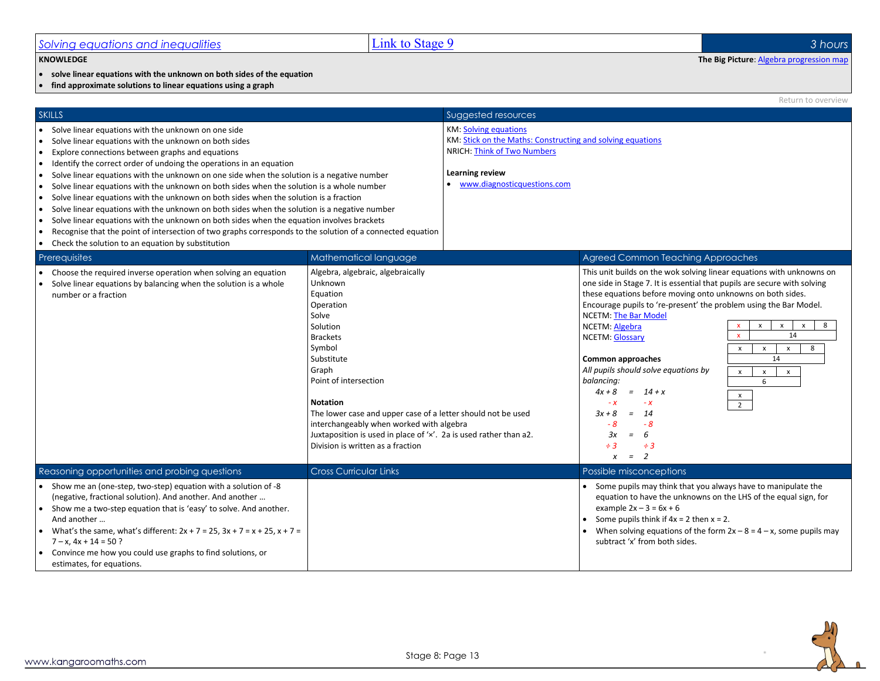• **solve linear equations with the unknown on both sides of the equation**

• **find approximate solutions to linear equations using a graph**

| <b>SKILLS</b>                                                                                                                                                                                                                                                                                                                                                                                                                                                                                                                                                                                                                                                                                                                                                                                                                                                                                                                                                                                       |                                                                                                                                                                                                                                                                                                                                                                                                                  | Suggested resources                                                                                                                                                                  |                                                                                                                                                                                                                                                                                                                                                                                                                                                                                                                                                                                                                                                                                                                                                                                                                         |  |  |
|-----------------------------------------------------------------------------------------------------------------------------------------------------------------------------------------------------------------------------------------------------------------------------------------------------------------------------------------------------------------------------------------------------------------------------------------------------------------------------------------------------------------------------------------------------------------------------------------------------------------------------------------------------------------------------------------------------------------------------------------------------------------------------------------------------------------------------------------------------------------------------------------------------------------------------------------------------------------------------------------------------|------------------------------------------------------------------------------------------------------------------------------------------------------------------------------------------------------------------------------------------------------------------------------------------------------------------------------------------------------------------------------------------------------------------|--------------------------------------------------------------------------------------------------------------------------------------------------------------------------------------|-------------------------------------------------------------------------------------------------------------------------------------------------------------------------------------------------------------------------------------------------------------------------------------------------------------------------------------------------------------------------------------------------------------------------------------------------------------------------------------------------------------------------------------------------------------------------------------------------------------------------------------------------------------------------------------------------------------------------------------------------------------------------------------------------------------------------|--|--|
| Solve linear equations with the unknown on one side<br>Solve linear equations with the unknown on both sides<br>$\bullet$<br>Explore connections between graphs and equations<br>$\bullet$<br>Identify the correct order of undoing the operations in an equation<br>$\bullet$<br>Solve linear equations with the unknown on one side when the solution is a negative number<br>$\bullet$<br>Solve linear equations with the unknown on both sides when the solution is a whole number<br>$\bullet$<br>Solve linear equations with the unknown on both sides when the solution is a fraction<br>$\bullet$<br>Solve linear equations with the unknown on both sides when the solution is a negative number<br>$\bullet$<br>Solve linear equations with the unknown on both sides when the equation involves brackets<br>$\bullet$<br>Recognise that the point of intersection of two graphs corresponds to the solution of a connected equation<br>Check the solution to an equation by substitution |                                                                                                                                                                                                                                                                                                                                                                                                                  | <b>KM: Solving equations</b><br>KM: Stick on the Maths: Constructing and solving equations<br><b>NRICH: Think of Two Numbers</b><br>Learning review<br>• www.diagnosticquestions.com |                                                                                                                                                                                                                                                                                                                                                                                                                                                                                                                                                                                                                                                                                                                                                                                                                         |  |  |
| Prerequisites                                                                                                                                                                                                                                                                                                                                                                                                                                                                                                                                                                                                                                                                                                                                                                                                                                                                                                                                                                                       | Mathematical language                                                                                                                                                                                                                                                                                                                                                                                            |                                                                                                                                                                                      | Agreed Common Teaching Approaches                                                                                                                                                                                                                                                                                                                                                                                                                                                                                                                                                                                                                                                                                                                                                                                       |  |  |
| Choose the required inverse operation when solving an equation<br>Solve linear equations by balancing when the solution is a whole<br>number or a fraction                                                                                                                                                                                                                                                                                                                                                                                                                                                                                                                                                                                                                                                                                                                                                                                                                                          | Algebra, algebraic, algebraically<br>Unknown<br>Equation<br>Operation<br>Solve<br>Solution<br><b>Brackets</b><br>Symbol<br>Substitute<br>Graph<br>Point of intersection<br><b>Notation</b><br>The lower case and upper case of a letter should not be used<br>interchangeably when worked with algebra<br>Juxtaposition is used in place of 'x'. 2a is used rather than a2.<br>Division is written as a fraction |                                                                                                                                                                                      | This unit builds on the wok solving linear equations with unknowns on<br>one side in Stage 7. It is essential that pupils are secure with solving<br>these equations before moving onto unknowns on both sides.<br>Encourage pupils to 're-present' the problem using the Bar Model.<br>NCETM: The Bar Model<br>NCETM: Algebra<br>$\boldsymbol{\mathsf{x}}$<br>X<br>8<br>$\boldsymbol{\mathsf{x}}$<br>14<br>$\mathbf{x}$<br><b>NCETM: Glossary</b><br>8<br>$\pmb{\times}$<br>x<br>x<br><b>Common approaches</b><br>14<br>All pupils should solve equations by<br>$\mathsf{x}$<br>$\mathsf{x}$<br>$\mathsf{x}$<br>balancing:<br>6<br>$4x + 8$<br>$= 14 + x$<br>$\mathsf{x}$<br>$- x$<br>$- x$<br>$\overline{2}$<br>$3x + 8$<br>14<br>$\equiv$<br>$-8$<br>$-8$<br>-6<br>3x<br>$=$ $\,$<br>$\div$ 3<br>$\div$ 3<br>$x = 2$ |  |  |
| Reasoning opportunities and probing questions                                                                                                                                                                                                                                                                                                                                                                                                                                                                                                                                                                                                                                                                                                                                                                                                                                                                                                                                                       | <b>Cross Curricular Links</b>                                                                                                                                                                                                                                                                                                                                                                                    | Possible misconceptions                                                                                                                                                              |                                                                                                                                                                                                                                                                                                                                                                                                                                                                                                                                                                                                                                                                                                                                                                                                                         |  |  |
| Show me an (one-step, two-step) equation with a solution of -8<br>(negative, fractional solution). And another. And another<br>Show me a two-step equation that is 'easy' to solve. And another.<br>And another<br>• What's the same, what's different: $2x + 7 = 25$ , $3x + 7 = x + 25$ , $x + 7 = x + 25$<br>$7 - x$ , $4x + 14 = 50$ ?<br>Convince me how you could use graphs to find solutions, or<br>estimates, for equations.                                                                                                                                                                                                                                                                                                                                                                                                                                                                                                                                                               |                                                                                                                                                                                                                                                                                                                                                                                                                  |                                                                                                                                                                                      | • Some pupils may think that you always have to manipulate the<br>equation to have the unknowns on the LHS of the equal sign, for<br>example $2x - 3 = 6x + 6$<br>• Some pupils think if $4x = 2$ then $x = 2$ .<br>• When solving equations of the form $2x - 8 = 4 - x$ , some pupils may<br>subtract 'x' from both sides.                                                                                                                                                                                                                                                                                                                                                                                                                                                                                            |  |  |



Return to overview

**KNOWLEDGE The Big Picture**[: Algebra progression map](http://kangaroomaths.com/free_resources/planning/KM_MathematicsProgression_Algebra.xlsx)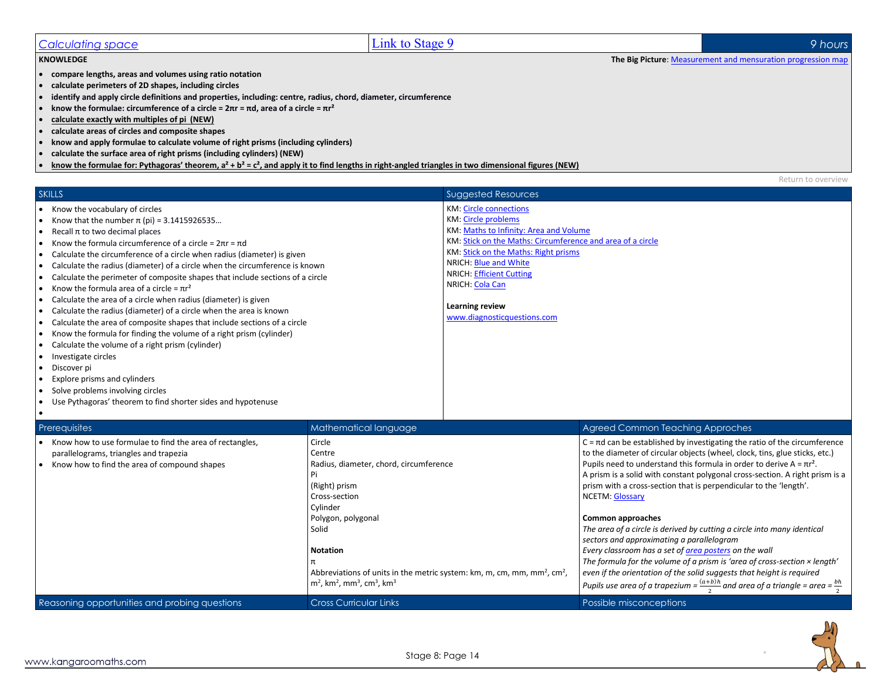| <b>Calculating space</b>                                                                                                                                | Link to Stage 9 | 9 hours            |  |  |  |
|---------------------------------------------------------------------------------------------------------------------------------------------------------|-----------------|--------------------|--|--|--|
| The Big Picture: Measurement and mensuration progression map<br><b>KNOWLEDGE</b>                                                                        |                 |                    |  |  |  |
| compare lengths, areas and volumes using ratio notation                                                                                                 |                 |                    |  |  |  |
| calculate perimeters of 2D shapes, including circles                                                                                                    |                 |                    |  |  |  |
| identify and apply circle definitions and properties, including: centre, radius, chord, diameter, circumference                                         |                 |                    |  |  |  |
| know the formulae: circumference of a circle = $2\pi r = \pi d$ , area of a circle = $\pi r^2$                                                          |                 |                    |  |  |  |
| calculate exactly with multiples of pi (NEW)                                                                                                            |                 |                    |  |  |  |
| calculate areas of circles and composite shapes                                                                                                         |                 |                    |  |  |  |
| know and apply formulae to calculate volume of right prisms (including cylinders)                                                                       |                 |                    |  |  |  |
| calculate the surface area of right prisms (including cylinders) (NEW)                                                                                  |                 |                    |  |  |  |
| know the formulae for: Pythagoras' theorem, $a^2 + b^2 = c^2$ , and apply it to find lengths in right-angled triangles in two dimensional figures (NEW) |                 |                    |  |  |  |
|                                                                                                                                                         |                 | Return to overview |  |  |  |

|                                                                               | ICLUITECO OVCIVICIV                                        |
|-------------------------------------------------------------------------------|------------------------------------------------------------|
| <b>SKILLS</b>                                                                 | Suggested Resources                                        |
| Know the vocabulary of circles                                                | <b>KM: Circle connections</b>                              |
| Know that the number π (pi) = 3.1415926535                                    | <b>KM: Circle problems</b>                                 |
| Recall $\pi$ to two decimal places                                            | KM: Maths to Infinity: Area and Volume                     |
| • Know the formula circumference of a circle = $2\pi r = \pi d$               | KM: Stick on the Maths: Circumference and area of a circle |
| Calculate the circumference of a circle when radius (diameter) is given       | KM: Stick on the Maths: Right prisms                       |
| Calculate the radius (diameter) of a circle when the circumference is known   | NRICH: Blue and White                                      |
| Calculate the perimeter of composite shapes that include sections of a circle | <b>NRICH: Efficient Cutting</b>                            |
| • Know the formula area of a circle = $\pi r^2$                               | NRICH: Cola Can                                            |
| • Calculate the area of a circle when radius (diameter) is given              |                                                            |
| • Calculate the radius (diameter) of a circle when the area is known          | Learning review                                            |
| Calculate the area of composite shapes that include sections of a circle      | www.diagnosticquestions.com                                |
| Know the formula for finding the volume of a right prism (cylinder)           |                                                            |
| Calculate the volume of a right prism (cylinder)                              |                                                            |
| Investigate circles                                                           |                                                            |
| Discover pi                                                                   |                                                            |
| Explore prisms and cylinders                                                  |                                                            |
| • Solve problems involving circles                                            |                                                            |
| • Use Pythagoras' theorem to find shorter sides and hypotenuse                |                                                            |
|                                                                               |                                                            |

| Prerequisites                                                                                                                                      | Mathematical language                                                                                                                                                                                                                                                                                                                         | Agreed Common Teaching Approches                                                                                                                                                                                                                                                                                                                                                                                                                                                                                                                                                                                                                                                                                                                                                                                                                                                                          |
|----------------------------------------------------------------------------------------------------------------------------------------------------|-----------------------------------------------------------------------------------------------------------------------------------------------------------------------------------------------------------------------------------------------------------------------------------------------------------------------------------------------|-----------------------------------------------------------------------------------------------------------------------------------------------------------------------------------------------------------------------------------------------------------------------------------------------------------------------------------------------------------------------------------------------------------------------------------------------------------------------------------------------------------------------------------------------------------------------------------------------------------------------------------------------------------------------------------------------------------------------------------------------------------------------------------------------------------------------------------------------------------------------------------------------------------|
| Know how to use formulae to find the area of rectangles,<br>parallelograms, triangles and trapezia<br>Know how to find the area of compound shapes | Circle<br>Centre<br>Radius, diameter, chord, circumference<br>(Right) prism<br>Cross-section<br>Cylinder<br>Polygon, polygonal<br>Solid<br><b>Notation</b><br>Abbreviations of units in the metric system: km, m, cm, mm, mm <sup>2</sup> , cm <sup>2</sup> ,<br>$m2$ , km <sup>2</sup> , mm <sup>3</sup> , cm <sup>3</sup> , km <sup>3</sup> | $C = \pi d$ can be established by investigating the ratio of the circumference<br>to the diameter of circular objects (wheel, clock, tins, glue sticks, etc.)<br>Pupils need to understand this formula in order to derive $A = \pi r^2$ .<br>A prism is a solid with constant polygonal cross-section. A right prism is a<br>prism with a cross-section that is perpendicular to the 'length'.<br><b>NCETM: Glossary</b><br><b>Common approaches</b><br>The area of a circle is derived by cutting a circle into many identical<br>sectors and approximating a parallelogram<br>Every classroom has a set of area posters on the wall<br>The formula for the volume of a prism is 'area of cross-section $\times$ length'<br>even if the orientation of the solid suggests that height is required<br>Pupils use area of a trapezium = $\frac{(a+b)h}{2}$ and area of a triangle = area = $\frac{bh}{2}$ |
| Reasoning opportunities and probing questions                                                                                                      | <b>Cross Curricular Links</b>                                                                                                                                                                                                                                                                                                                 | Possible misconceptions                                                                                                                                                                                                                                                                                                                                                                                                                                                                                                                                                                                                                                                                                                                                                                                                                                                                                   |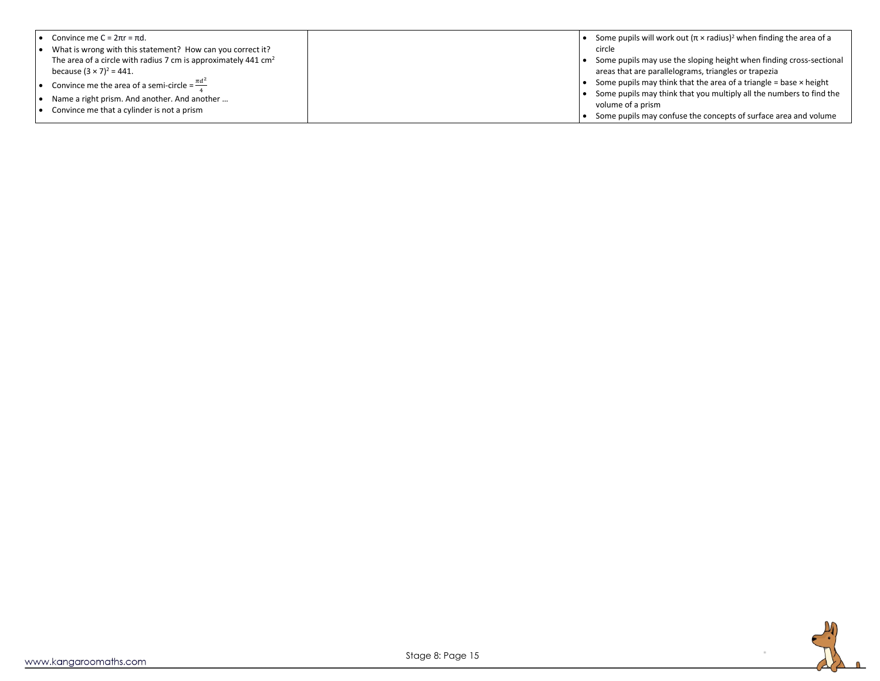| Convince me $C = 2πr = πd$ .                                               |  | Some pupils will work out $(\pi \times$ radius) <sup>2</sup> when finding the area of a |
|----------------------------------------------------------------------------|--|-----------------------------------------------------------------------------------------|
| What is wrong with this statement? How can you correct it?                 |  | circle                                                                                  |
| The area of a circle with radius 7 cm is approximately 441 cm <sup>2</sup> |  | Some pupils may use the sloping height when finding cross-sectional                     |
| because $(3 \times 7)^2 = 441$ .                                           |  | areas that are parallelograms, triangles or trapezia                                    |
| Convince me the area of a semi-circle = $\frac{\pi d^2}{4}$                |  | Some pupils may think that the area of a triangle = base $\times$ height                |
| Name a right prism. And another. And another                               |  | Some pupils may think that you multiply all the numbers to find the                     |
| Convince me that a cylinder is not a prism                                 |  | volume of a prism                                                                       |
|                                                                            |  | Some pupils may confuse the concepts of surface area and volume                         |

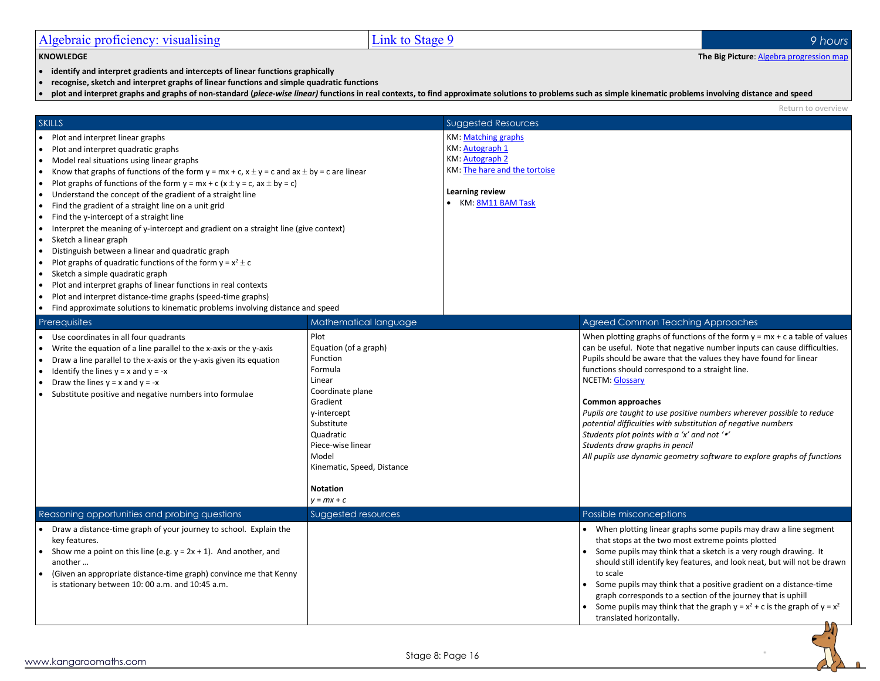# Algebraic proficiency: visualising Link to Stage 9 *9 <i>hours 9 hours*

**KNOWLEDGE The Big Picture**[: Algebra progression map](http://kangaroomaths.com/free_resources/planning/KM_MathematicsProgression_Algebra.xlsx)

- **identify and interpret gradients and intercepts of linear functions graphically**
- **recognise, sketch and interpret graphs of linear functions and simple quadratic functions**
- plot and interpret graphs and graphs of non-standard (piece-wise linear) functions in real contexts, to find approximate solutions to problems such as simple kinematic problems involving distance and speed

|                                                                                                                                                                                                                                                                                                                                                                                                                                                                                                                                                                                                                                                                                                                                                                                                                                                                                                                                                                                                                                                          |                                                                                                                                                                                                                                         |                                                                                                                                                    | Return to overview                                                                                                                                                                                                                                                                                                                                                                                                                                                                                                                                                                                                                         |
|----------------------------------------------------------------------------------------------------------------------------------------------------------------------------------------------------------------------------------------------------------------------------------------------------------------------------------------------------------------------------------------------------------------------------------------------------------------------------------------------------------------------------------------------------------------------------------------------------------------------------------------------------------------------------------------------------------------------------------------------------------------------------------------------------------------------------------------------------------------------------------------------------------------------------------------------------------------------------------------------------------------------------------------------------------|-----------------------------------------------------------------------------------------------------------------------------------------------------------------------------------------------------------------------------------------|----------------------------------------------------------------------------------------------------------------------------------------------------|--------------------------------------------------------------------------------------------------------------------------------------------------------------------------------------------------------------------------------------------------------------------------------------------------------------------------------------------------------------------------------------------------------------------------------------------------------------------------------------------------------------------------------------------------------------------------------------------------------------------------------------------|
| <b>SKILLS</b>                                                                                                                                                                                                                                                                                                                                                                                                                                                                                                                                                                                                                                                                                                                                                                                                                                                                                                                                                                                                                                            |                                                                                                                                                                                                                                         | <b>Suggested Resources</b>                                                                                                                         |                                                                                                                                                                                                                                                                                                                                                                                                                                                                                                                                                                                                                                            |
| • Plot and interpret linear graphs<br>Plot and interpret quadratic graphs<br>Model real situations using linear graphs<br>Know that graphs of functions of the form $y = mx + c$ , $x \pm y = c$ and $ax \pm by = c$ are linear<br>$\bullet$<br>Plot graphs of functions of the form $y = mx + c(x \pm y = c, ax \pm by = c)$<br>Understand the concept of the gradient of a straight line<br>Find the gradient of a straight line on a unit grid<br>$\bullet$<br>Find the y-intercept of a straight line<br>Interpret the meaning of y-intercept and gradient on a straight line (give context)<br>$\bullet$<br>Sketch a linear graph<br>$\bullet$<br>Distinguish between a linear and quadratic graph<br>Plot graphs of quadratic functions of the form $y = x^2 \pm c$<br>$\bullet$<br>Sketch a simple quadratic graph<br>Plot and interpret graphs of linear functions in real contexts<br>$\bullet$<br>Plot and interpret distance-time graphs (speed-time graphs)<br>Find approximate solutions to kinematic problems involving distance and speed |                                                                                                                                                                                                                                         | <b>KM: Matching graphs</b><br>KM: Autograph 1<br><b>KM: Autograph 2</b><br>KM: The hare and the tortoise<br>Learning review<br>• KM: 8M11 BAM Task |                                                                                                                                                                                                                                                                                                                                                                                                                                                                                                                                                                                                                                            |
| Prerequisites                                                                                                                                                                                                                                                                                                                                                                                                                                                                                                                                                                                                                                                                                                                                                                                                                                                                                                                                                                                                                                            | Mathematical language                                                                                                                                                                                                                   |                                                                                                                                                    | Agreed Common Teaching Approaches                                                                                                                                                                                                                                                                                                                                                                                                                                                                                                                                                                                                          |
| • Use coordinates in all four quadrants<br>Write the equation of a line parallel to the x-axis or the y-axis<br>Draw a line parallel to the x-axis or the y-axis given its equation<br>$\bullet$<br>Identify the lines $y = x$ and $y = -x$<br>Draw the lines $y = x$ and $y = -x$<br>$\bullet$<br>• Substitute positive and negative numbers into formulae                                                                                                                                                                                                                                                                                                                                                                                                                                                                                                                                                                                                                                                                                              | Plot<br>Equation (of a graph)<br>Function<br>Formula<br>Linear<br>Coordinate plane<br>Gradient<br>y-intercept<br>Substitute<br>Quadratic<br>Piece-wise linear<br>Model<br>Kinematic, Speed, Distance<br><b>Notation</b><br>$y = mx + c$ |                                                                                                                                                    | When plotting graphs of functions of the form $y = mx + c$ a table of values<br>can be useful. Note that negative number inputs can cause difficulties.<br>Pupils should be aware that the values they have found for linear<br>functions should correspond to a straight line.<br><b>NCETM: Glossary</b><br><b>Common approaches</b><br>Pupils are taught to use positive numbers wherever possible to reduce<br>potential difficulties with substitution of negative numbers<br>Students plot points with a 'x' and not '*'<br>Students draw graphs in pencil<br>All pupils use dynamic geometry software to explore graphs of functions |
| Reasoning opportunities and probing questions                                                                                                                                                                                                                                                                                                                                                                                                                                                                                                                                                                                                                                                                                                                                                                                                                                                                                                                                                                                                            | Suggested resources                                                                                                                                                                                                                     |                                                                                                                                                    | Possible misconceptions                                                                                                                                                                                                                                                                                                                                                                                                                                                                                                                                                                                                                    |
| • Draw a distance-time graph of your journey to school. Explain the<br>key features.<br>Show me a point on this line (e.g. $y = 2x + 1$ ). And another, and<br>another<br>(Given an appropriate distance-time graph) convince me that Kenny<br>is stationary between 10: 00 a.m. and 10:45 a.m.                                                                                                                                                                                                                                                                                                                                                                                                                                                                                                                                                                                                                                                                                                                                                          |                                                                                                                                                                                                                                         |                                                                                                                                                    | • When plotting linear graphs some pupils may draw a line segment<br>that stops at the two most extreme points plotted<br>Some pupils may think that a sketch is a very rough drawing. It<br>should still identify key features, and look neat, but will not be drawn<br>to scale<br>Some pupils may think that a positive gradient on a distance-time<br>graph corresponds to a section of the journey that is uphill<br>Some pupils may think that the graph $y = x^2 + c$ is the graph of $y = x^2$<br>translated horizontally.                                                                                                         |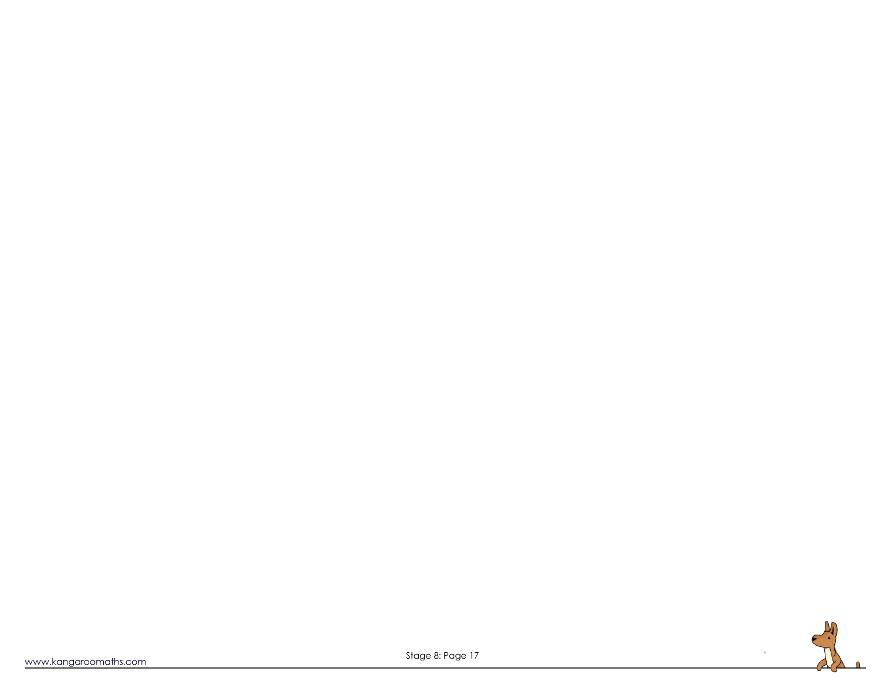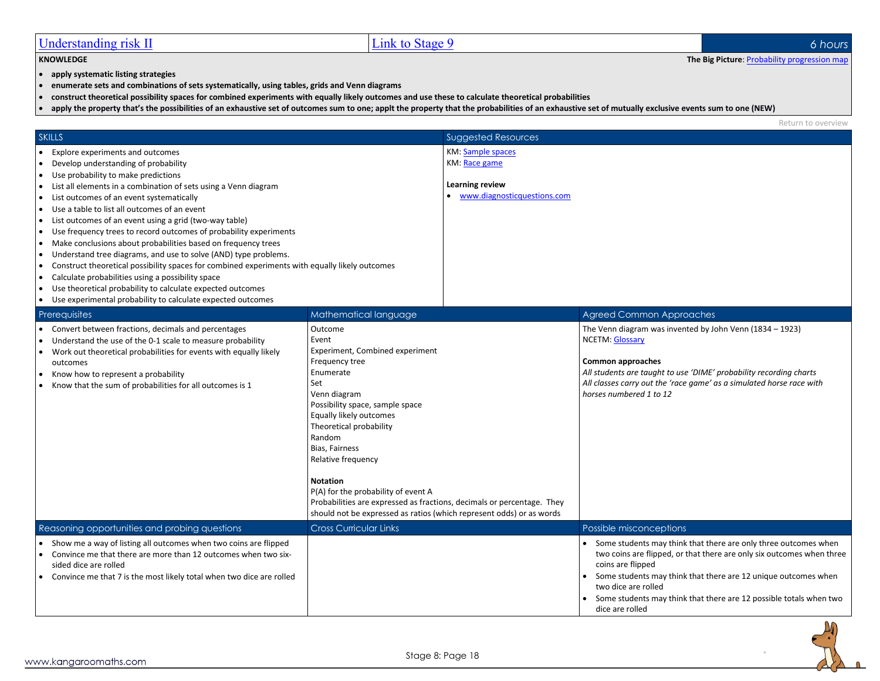# **Understanding risk II** 6*hours* 6*hours*

**KNOWLEDGE The Big Picture**[: Probability progression map](http://kangaroomaths.com/free_resources/planning/KM_MathematicsProgression_Probability.xlsx)

- **apply systematic listing strategies**
- **enumerate sets and combinations of sets systematically, using tables, grids and Venn diagrams**
- **construct theoretical possibility spaces for combined experiments with equally likely outcomes and use these to calculate theoretical probabilities**
- **apply the property that's the possibilities of an exhaustive set of outcomes sum to one; applt the property that the probabilities of an exhaustive set of mutually exclusive events sum to one (NEW)**

| Return to overview |  |  |  |  |
|--------------------|--|--|--|--|
|                    |  |  |  |  |

| <b>SKILLS</b>                                                                                                                                                                                                                                                                                                                                                                                                                                                                                                                                                                                                                                                                                                                                                                                                                                          |                                                                                                                                                                                                                                                                                                                                                                                                                                                                  | <b>Suggested Resources</b>                                                           |                                                                                                                                                                                                                                                                                                                                                 |
|--------------------------------------------------------------------------------------------------------------------------------------------------------------------------------------------------------------------------------------------------------------------------------------------------------------------------------------------------------------------------------------------------------------------------------------------------------------------------------------------------------------------------------------------------------------------------------------------------------------------------------------------------------------------------------------------------------------------------------------------------------------------------------------------------------------------------------------------------------|------------------------------------------------------------------------------------------------------------------------------------------------------------------------------------------------------------------------------------------------------------------------------------------------------------------------------------------------------------------------------------------------------------------------------------------------------------------|--------------------------------------------------------------------------------------|-------------------------------------------------------------------------------------------------------------------------------------------------------------------------------------------------------------------------------------------------------------------------------------------------------------------------------------------------|
| Explore experiments and outcomes<br>Develop understanding of probability<br>Use probability to make predictions<br>List all elements in a combination of sets using a Venn diagram<br>List outcomes of an event systematically<br>Use a table to list all outcomes of an event<br>$\bullet$<br>List outcomes of an event using a grid (two-way table)<br>• Use frequency trees to record outcomes of probability experiments<br>Make conclusions about probabilities based on frequency trees<br>Understand tree diagrams, and use to solve (AND) type problems.<br>Construct theoretical possibility spaces for combined experiments with equally likely outcomes<br>Calculate probabilities using a possibility space<br>Use theoretical probability to calculate expected outcomes<br>• Use experimental probability to calculate expected outcomes |                                                                                                                                                                                                                                                                                                                                                                                                                                                                  | KM: Sample spaces<br>KM: Race game<br>Learning review<br>www.diagnosticquestions.com |                                                                                                                                                                                                                                                                                                                                                 |
| Prerequisites                                                                                                                                                                                                                                                                                                                                                                                                                                                                                                                                                                                                                                                                                                                                                                                                                                          | Mathematical language                                                                                                                                                                                                                                                                                                                                                                                                                                            |                                                                                      | <b>Agreed Common Approaches</b>                                                                                                                                                                                                                                                                                                                 |
| • Convert between fractions, decimals and percentages<br>Understand the use of the 0-1 scale to measure probability<br>Work out theoretical probabilities for events with equally likely<br>outcomes<br>Know how to represent a probability<br>• Know that the sum of probabilities for all outcomes is 1                                                                                                                                                                                                                                                                                                                                                                                                                                                                                                                                              | Outcome<br>Event<br>Experiment, Combined experiment<br>Frequency tree<br>Enumerate<br>Set<br>Venn diagram<br>Possibility space, sample space<br>Equally likely outcomes<br>Theoretical probability<br>Random<br>Bias, Fairness<br>Relative frequency<br><b>Notation</b><br>P(A) for the probability of event A<br>Probabilities are expressed as fractions, decimals or percentage. They<br>should not be expressed as ratios (which represent odds) or as words |                                                                                      | The Venn diagram was invented by John Venn (1834 - 1923)<br><b>NCETM: Glossary</b><br><b>Common approaches</b><br>All students are taught to use 'DIME' probability recording charts<br>All classes carry out the 'race game' as a simulated horse race with<br>horses numbered 1 to 12                                                         |
| Reasoning opportunities and probing questions                                                                                                                                                                                                                                                                                                                                                                                                                                                                                                                                                                                                                                                                                                                                                                                                          | <b>Cross Curricular Links</b>                                                                                                                                                                                                                                                                                                                                                                                                                                    |                                                                                      | Possible misconceptions                                                                                                                                                                                                                                                                                                                         |
| Show me a way of listing all outcomes when two coins are flipped<br>Convince me that there are more than 12 outcomes when two six-<br>sided dice are rolled<br>• Convince me that 7 is the most likely total when two dice are rolled                                                                                                                                                                                                                                                                                                                                                                                                                                                                                                                                                                                                                  |                                                                                                                                                                                                                                                                                                                                                                                                                                                                  |                                                                                      | Some students may think that there are only three outcomes when<br>two coins are flipped, or that there are only six outcomes when three<br>coins are flipped<br>Some students may think that there are 12 unique outcomes when<br>two dice are rolled<br>Some students may think that there are 12 possible totals when two<br>dice are rolled |

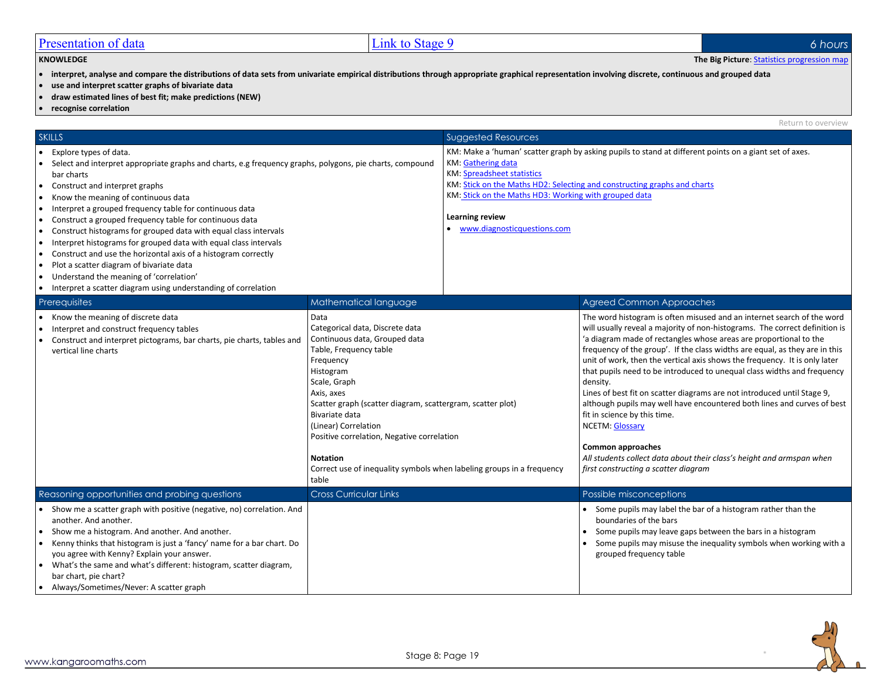# **Presentation of data** 6*hours* 6*hours*

### **KNOWLEDGE The Big Picture**[: Statistics progression map](http://kangaroomaths.com/free_resources/planning/KM_MathematicsProgression_Statistics.xlsx)

- **interpret, analyse and compare the distributions of data sets from univariate empirical distributions through appropriate graphical representation involving discrete, continuous and grouped data**
- **use and interpret scatter graphs of bivariate data**
- **draw estimated lines of best fit; make predictions (NEW)**
- **recognise correlation**

Return to overview

| <b>SKILLS</b>                                                                                                                                                                                                                                                                                                                                                                                                                                                                                                                                                                                                                                                                                                                                                                       |                                                                                                                                                                                                                                                                                                                                                                                                                     | <b>Suggested Resources</b>                                                                                                                                                  |                                                                                                                                                                                                                                                                                                                                                                                                                                                                                                                                                                                                                                                                                                                                                                                                                                             |  |
|-------------------------------------------------------------------------------------------------------------------------------------------------------------------------------------------------------------------------------------------------------------------------------------------------------------------------------------------------------------------------------------------------------------------------------------------------------------------------------------------------------------------------------------------------------------------------------------------------------------------------------------------------------------------------------------------------------------------------------------------------------------------------------------|---------------------------------------------------------------------------------------------------------------------------------------------------------------------------------------------------------------------------------------------------------------------------------------------------------------------------------------------------------------------------------------------------------------------|-----------------------------------------------------------------------------------------------------------------------------------------------------------------------------|---------------------------------------------------------------------------------------------------------------------------------------------------------------------------------------------------------------------------------------------------------------------------------------------------------------------------------------------------------------------------------------------------------------------------------------------------------------------------------------------------------------------------------------------------------------------------------------------------------------------------------------------------------------------------------------------------------------------------------------------------------------------------------------------------------------------------------------------|--|
| Explore types of data.<br>Select and interpret appropriate graphs and charts, e.g frequency graphs, polygons, pie charts, compound<br>bar charts<br>Construct and interpret graphs<br>Know the meaning of continuous data<br>Interpret a grouped frequency table for continuous data<br>$\bullet$<br>Construct a grouped frequency table for continuous data<br>$\bullet$<br>Construct histograms for grouped data with equal class intervals<br>Interpret histograms for grouped data with equal class intervals<br>$\bullet$<br>Construct and use the horizontal axis of a histogram correctly<br>Plot a scatter diagram of bivariate data<br>Understand the meaning of 'correlation'<br>$\bullet$<br>Interpret a scatter diagram using understanding of correlation<br>$\bullet$ |                                                                                                                                                                                                                                                                                                                                                                                                                     | <b>KM: Gathering data</b><br><b>KM: Spreadsheet statistics</b><br>KM: Stick on the Maths HD3: Working with grouped data<br>Learning review<br>• www.diagnosticquestions.com | KM: Make a 'human' scatter graph by asking pupils to stand at different points on a giant set of axes.<br>KM: Stick on the Maths HD2: Selecting and constructing graphs and charts                                                                                                                                                                                                                                                                                                                                                                                                                                                                                                                                                                                                                                                          |  |
| Prerequisites                                                                                                                                                                                                                                                                                                                                                                                                                                                                                                                                                                                                                                                                                                                                                                       | Mathematical language                                                                                                                                                                                                                                                                                                                                                                                               |                                                                                                                                                                             | <b>Agreed Common Approaches</b>                                                                                                                                                                                                                                                                                                                                                                                                                                                                                                                                                                                                                                                                                                                                                                                                             |  |
| • Know the meaning of discrete data<br>Interpret and construct frequency tables<br>Construct and interpret pictograms, bar charts, pie charts, tables and<br>vertical line charts                                                                                                                                                                                                                                                                                                                                                                                                                                                                                                                                                                                                   | Data<br>Categorical data, Discrete data<br>Continuous data, Grouped data<br>Table, Frequency table<br>Frequency<br>Histogram<br>Scale, Graph<br>Axis, axes<br>Scatter graph (scatter diagram, scattergram, scatter plot)<br><b>Bivariate data</b><br>(Linear) Correlation<br>Positive correlation, Negative correlation<br><b>Notation</b><br>Correct use of inequality symbols when labeling groups in a frequency |                                                                                                                                                                             | The word histogram is often misused and an internet search of the word<br>will usually reveal a majority of non-histograms. The correct definition is<br>'a diagram made of rectangles whose areas are proportional to the<br>frequency of the group'. If the class widths are equal, as they are in this<br>unit of work, then the vertical axis shows the frequency. It is only later<br>that pupils need to be introduced to unequal class widths and frequency<br>density.<br>Lines of best fit on scatter diagrams are not introduced until Stage 9,<br>although pupils may well have encountered both lines and curves of best<br>fit in science by this time.<br><b>NCETM: Glossary</b><br><b>Common approaches</b><br>All students collect data about their class's height and armspan when<br>first constructing a scatter diagram |  |
| Reasoning opportunities and probing questions                                                                                                                                                                                                                                                                                                                                                                                                                                                                                                                                                                                                                                                                                                                                       | <b>Cross Curricular Links</b>                                                                                                                                                                                                                                                                                                                                                                                       |                                                                                                                                                                             | Possible misconceptions                                                                                                                                                                                                                                                                                                                                                                                                                                                                                                                                                                                                                                                                                                                                                                                                                     |  |
| • Show me a scatter graph with positive (negative, no) correlation. And<br>another. And another.<br>Show me a histogram. And another. And another.<br>Kenny thinks that histogram is just a 'fancy' name for a bar chart. Do<br>$\bullet$<br>you agree with Kenny? Explain your answer.<br>• What's the same and what's different: histogram, scatter diagram,<br>bar chart, pie chart?<br>Always/Sometimes/Never: A scatter graph                                                                                                                                                                                                                                                                                                                                                  |                                                                                                                                                                                                                                                                                                                                                                                                                     |                                                                                                                                                                             | • Some pupils may label the bar of a histogram rather than the<br>boundaries of the bars<br>Some pupils may leave gaps between the bars in a histogram<br>Some pupils may misuse the inequality symbols when working with a<br>grouped frequency table                                                                                                                                                                                                                                                                                                                                                                                                                                                                                                                                                                                      |  |